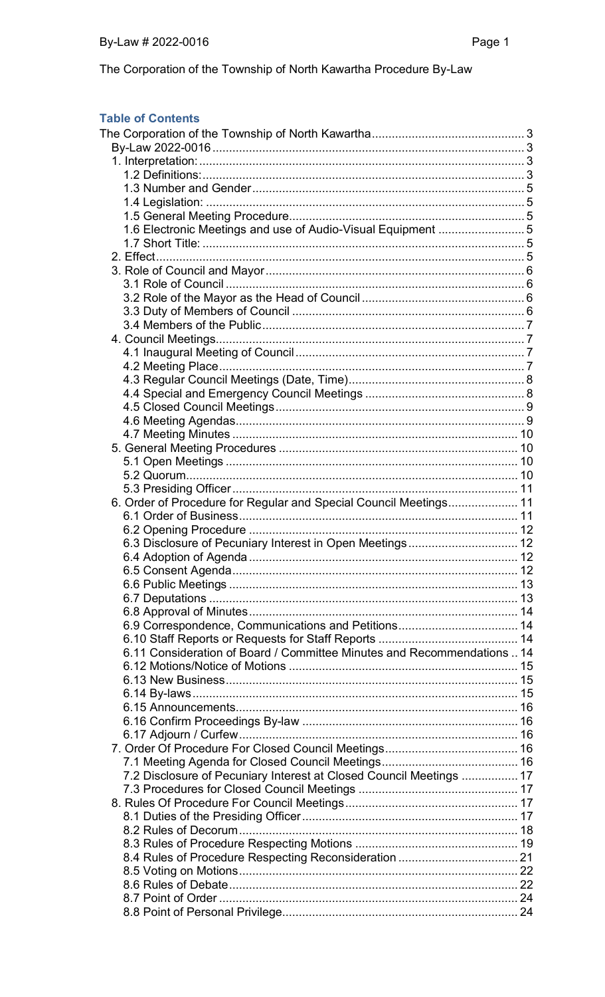## **Table of Contents**

| 1.6 Electronic Meetings and use of Audio-Visual Equipment 5             |  |
|-------------------------------------------------------------------------|--|
|                                                                         |  |
|                                                                         |  |
|                                                                         |  |
|                                                                         |  |
|                                                                         |  |
|                                                                         |  |
|                                                                         |  |
|                                                                         |  |
|                                                                         |  |
|                                                                         |  |
|                                                                         |  |
|                                                                         |  |
|                                                                         |  |
|                                                                         |  |
|                                                                         |  |
|                                                                         |  |
|                                                                         |  |
|                                                                         |  |
|                                                                         |  |
|                                                                         |  |
| 6. Order of Procedure for Regular and Special Council Meetings 11       |  |
|                                                                         |  |
|                                                                         |  |
|                                                                         |  |
|                                                                         |  |
|                                                                         |  |
|                                                                         |  |
|                                                                         |  |
|                                                                         |  |
| 6.9 Correspondence, Communications and Petitions 14                     |  |
|                                                                         |  |
| 6.11 Consideration of Board / Committee Minutes and Recommendations  14 |  |
|                                                                         |  |
|                                                                         |  |
|                                                                         |  |
|                                                                         |  |
|                                                                         |  |
|                                                                         |  |
|                                                                         |  |
|                                                                         |  |
|                                                                         |  |
| 7.2 Disclosure of Pecuniary Interest at Closed Council Meetings  17     |  |
|                                                                         |  |
|                                                                         |  |
|                                                                         |  |
|                                                                         |  |
|                                                                         |  |
|                                                                         |  |
|                                                                         |  |
|                                                                         |  |
|                                                                         |  |
|                                                                         |  |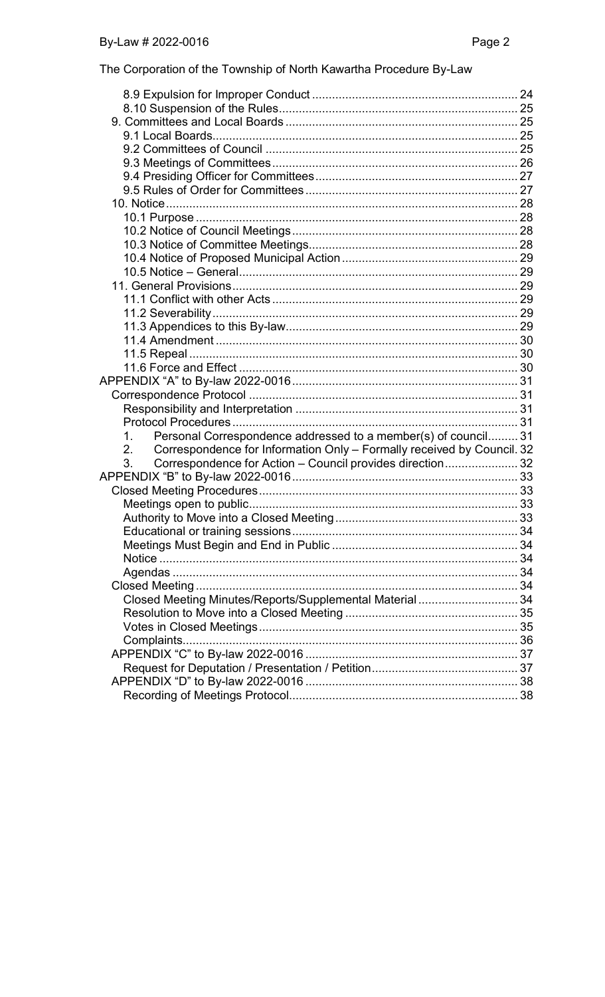|  |  | The Corporation of the Township of North Kawartha Procedure By-Law |  |
|--|--|--------------------------------------------------------------------|--|
|--|--|--------------------------------------------------------------------|--|

| Personal Correspondence addressed to a member(s) of council 31<br>1.         |  |
|------------------------------------------------------------------------------|--|
| Correspondence for Information Only - Formally received by Council. 32<br>2. |  |
| Correspondence for Action - Council provides direction 32<br>3.              |  |
|                                                                              |  |
|                                                                              |  |
|                                                                              |  |
|                                                                              |  |
|                                                                              |  |
|                                                                              |  |
|                                                                              |  |
|                                                                              |  |
|                                                                              |  |
| Closed Meeting Minutes/Reports/Supplemental Material 34                      |  |
|                                                                              |  |
|                                                                              |  |
|                                                                              |  |
|                                                                              |  |
|                                                                              |  |
|                                                                              |  |
|                                                                              |  |
|                                                                              |  |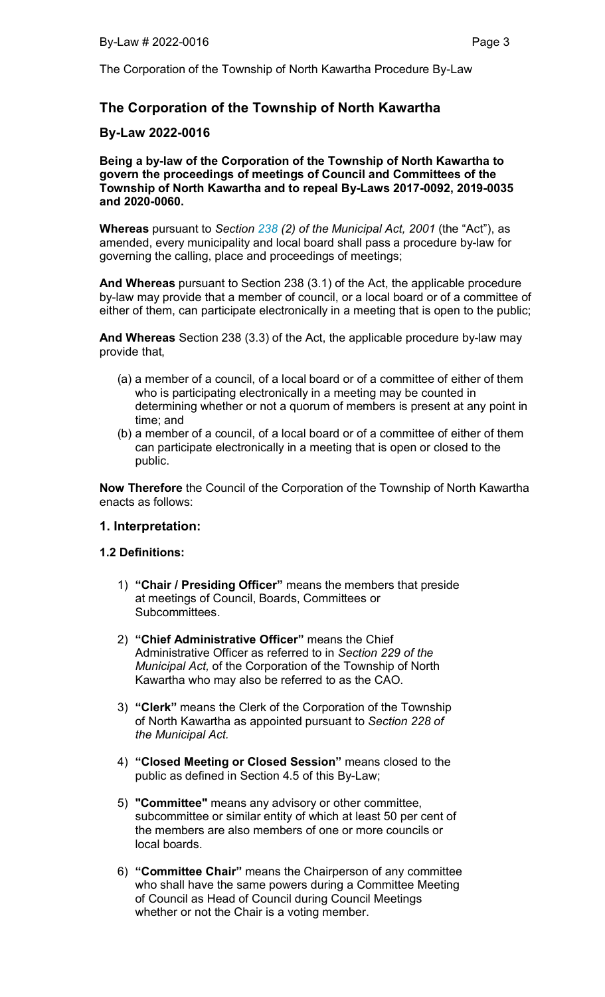# The Corporation of the Township of North Kawartha

# By-Law 2022-0016

Being a by-law of the Corporation of the Township of North Kawartha to govern the proceedings of meetings of Council and Committees of the Township of North Kawartha and to repeal By-Laws 2017-0092, 2019-0035 and 2020-0060.

Whereas pursuant to *Section 238 (2) of the Municipal Act, 2001* (the "Act"), as amended, every municipality and local board shall pass a procedure by-law for governing the calling, place and proceedings of meetings;

And Whereas pursuant to Section 238 (3.1) of the Act, the applicable procedure by-law may provide that a member of council, or a local board or of a committee of either of them, can participate electronically in a meeting that is open to the public;

And Whereas Section 238 (3.3) of the Act, the applicable procedure by-law may provide that,

- (a) a member of a council, of a local board or of a committee of either of them who is participating electronically in a meeting may be counted in determining whether or not a quorum of members is present at any point in time; and
- (b) a member of a council, of a local board or of a committee of either of them can participate electronically in a meeting that is open or closed to the public.

Now Therefore the Council of the Corporation of the Township of North Kawartha enacts as follows:

## 1. Interpretation:

## 1.2 Definitions:

- 1) "Chair / Presiding Officer" means the members that preside at meetings of Council, Boards, Committees or Subcommittees.
- 2) "Chief Administrative Officer" means the Chief Administrative Officer as referred to in *Section 229 of the Municipal Act,* of the Corporation of the Township of North Kawartha who may also be referred to as the CAO.
- 3) "Clerk" means the Clerk of the Corporation of the Township of North Kawartha as appointed pursuant to *Section 228 of the Municipal Act.*
- 4) "Closed Meeting or Closed Session" means closed to the public as defined in Section 4.5 of this By-Law;
- 5) "Committee" means any advisory or other committee, subcommittee or similar entity of which at least 50 per cent of the members are also members of one or more councils or local boards.
- 6) "Committee Chair" means the Chairperson of any committee who shall have the same powers during a Committee Meeting of Council as Head of Council during Council Meetings whether or not the Chair is a voting member.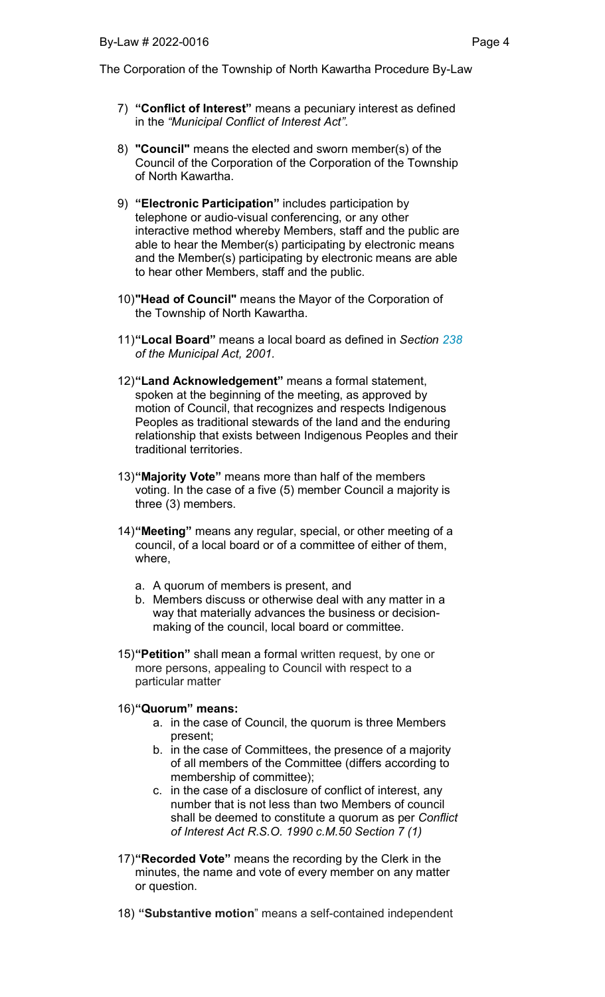- 7) "Conflict of Interest" means a pecuniary interest as defined in the *"Municipal Conflict of Interest Act".*
- 8) "Council" means the elected and sworn member(s) of the Council of the Corporation of the Corporation of the Township of North Kawartha.
- 9) "Electronic Participation" includes participation by telephone or audio-visual conferencing, or any other interactive method whereby Members, staff and the public are able to hear the Member(s) participating by electronic means and the Member(s) participating by electronic means are able to hear other Members, staff and the public.
- 10)"Head of Council" means the Mayor of the Corporation of the Township of North Kawartha.
- 11)"Local Board" means a local board as defined in *Section 238 of the Municipal Act, 2001.*
- 12)"Land Acknowledgement" means a formal statement, spoken at the beginning of the meeting, as approved by motion of Council, that recognizes and respects Indigenous Peoples as traditional stewards of the land and the enduring relationship that exists between Indigenous Peoples and their traditional territories.
- 13) "Majority Vote" means more than half of the members voting. In the case of a five (5) member Council a majority is three (3) members.
- 14) **"Meeting"** means any regular, special, or other meeting of a council, of a local board or of a committee of either of them, where,
	- a. A quorum of members is present, and
	- b. Members discuss or otherwise deal with any matter in a way that materially advances the business or decisionmaking of the council, local board or committee.
- 15)"Petition" shall mean a formal written request, by one or more persons, appealing to Council with respect to a particular matter

#### 16)"Quorum" means:

- a. in the case of Council, the quorum is three Members present;
- b. in the case of Committees, the presence of a majority of all members of the Committee (differs according to membership of committee);
- c. in the case of a disclosure of conflict of interest, any number that is not less than two Members of council shall be deemed to constitute a quorum as per *Conflict of Interest Act R.S.O. 1990 c.M.50 Section 7 (1)*
- 17)"Recorded Vote" means the recording by the Clerk in the minutes, the name and vote of every member on any matter or question.
- 18) "Substantive motion" means a self-contained independent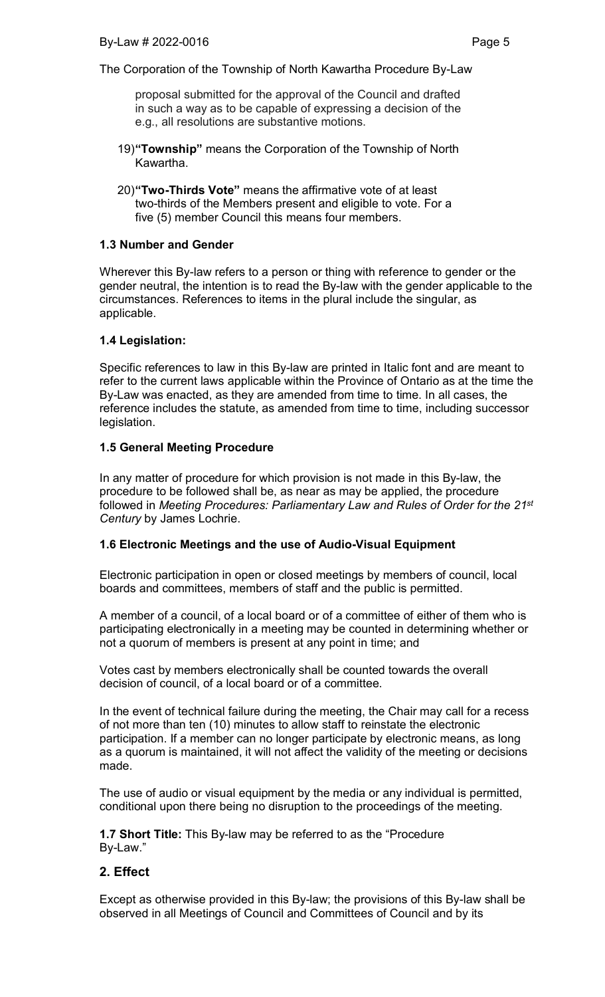proposal submitted for the approval of the Council and drafted in such a way as to be capable of expressing a decision of the e.g., all resolutions are substantive motions.

- 19)"Township" means the Corporation of the Township of North Kawartha.
- 20)"Two-Thirds Vote" means the affirmative vote of at least two-thirds of the Members present and eligible to vote. For a five (5) member Council this means four members.

## 1.3 Number and Gender

Wherever this By-law refers to a person or thing with reference to gender or the gender neutral, the intention is to read the By-law with the gender applicable to the circumstances. References to items in the plural include the singular, as applicable.

### 1.4 Legislation:

Specific references to law in this By-law are printed in Italic font and are meant to refer to the current laws applicable within the Province of Ontario as at the time the By-Law was enacted, as they are amended from time to time. In all cases, the reference includes the statute, as amended from time to time, including successor legislation.

### 1.5 General Meeting Procedure

In any matter of procedure for which provision is not made in this By-law, the procedure to be followed shall be, as near as may be applied, the procedure followed in *Meeting Procedures: Parliamentary Law and Rules of Order for the 21st Century* by James Lochrie.

## 1.6 Electronic Meetings and the use of Audio-Visual Equipment

Electronic participation in open or closed meetings by members of council, local boards and committees, members of staff and the public is permitted.

A member of a council, of a local board or of a committee of either of them who is participating electronically in a meeting may be counted in determining whether or not a quorum of members is present at any point in time; and

Votes cast by members electronically shall be counted towards the overall decision of council, of a local board or of a committee.

In the event of technical failure during the meeting, the Chair may call for a recess of not more than ten (10) minutes to allow staff to reinstate the electronic participation. If a member can no longer participate by electronic means, as long as a quorum is maintained, it will not affect the validity of the meeting or decisions made.

The use of audio or visual equipment by the media or any individual is permitted, conditional upon there being no disruption to the proceedings of the meeting.

1.7 Short Title: This By-law may be referred to as the "Procedure By-Law."

## 2. Effect

Except as otherwise provided in this By-law; the provisions of this By-law shall be observed in all Meetings of Council and Committees of Council and by its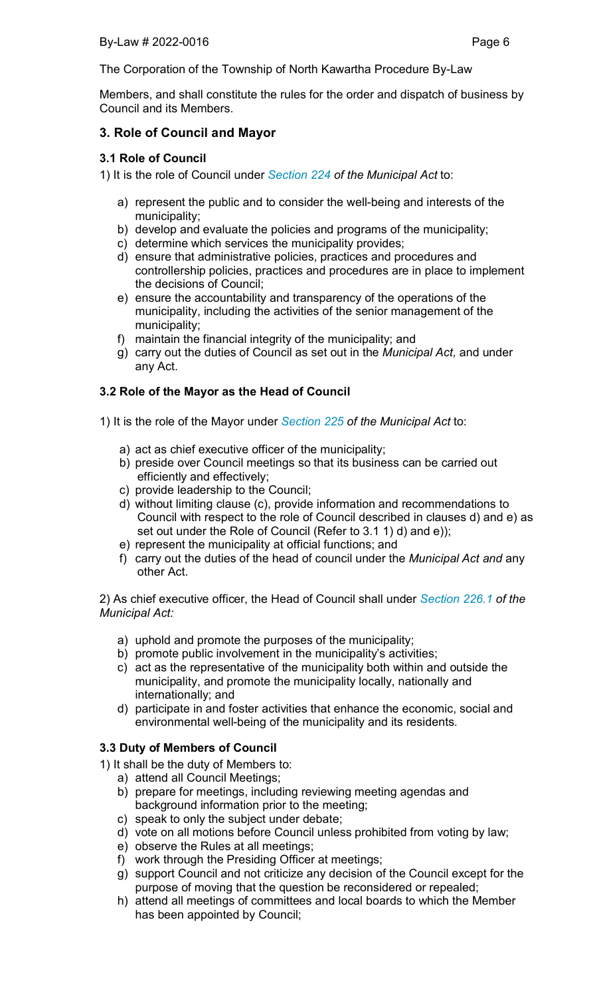Members, and shall constitute the rules for the order and dispatch of business by Council and its Members.

# 3. Role of Council and Mayor

## 3.1 Role of Council

- 1) It is the role of Council under *Section 224 of the Municipal Act* to:
	- a) represent the public and to consider the well-being and interests of the municipality;
	- b) develop and evaluate the policies and programs of the municipality;
	- c) determine which services the municipality provides;
	- d) ensure that administrative policies, practices and procedures and controllership policies, practices and procedures are in place to implement the decisions of Council;
	- e) ensure the accountability and transparency of the operations of the municipality, including the activities of the senior management of the municipality;
	- f) maintain the financial integrity of the municipality; and
	- g) carry out the duties of Council as set out in the *Municipal Act,* and under any Act.

# 3.2 Role of the Mayor as the Head of Council

- 1) It is the role of the Mayor under *Section 225 of the Municipal Act* to:
	- a) act as chief executive officer of the municipality;
	- b) preside over Council meetings so that its business can be carried out efficiently and effectively;
	- c) provide leadership to the Council;
	- d) without limiting clause (c), provide information and recommendations to Council with respect to the role of Council described in clauses d) and e) as set out under the Role of Council (Refer to 3.1 1) d) and e));
	- e) represent the municipality at official functions; and
	- f) carry out the duties of the head of council under the *Municipal Act and* any other Act.

2) As chief executive officer, the Head of Council shall under *Section 226.1 of the Municipal Act:*

- a) uphold and promote the purposes of the municipality;
- b) promote public involvement in the municipality's activities;
- c) act as the representative of the municipality both within and outside the municipality, and promote the municipality locally, nationally and internationally; and
- d) participate in and foster activities that enhance the economic, social and environmental well-being of the municipality and its residents.

## 3.3 Duty of Members of Council

- 1) It shall be the duty of Members to:
	- a) attend all Council Meetings;
	- b) prepare for meetings, including reviewing meeting agendas and background information prior to the meeting;
	- c) speak to only the subject under debate;
	- d) vote on all motions before Council unless prohibited from voting by law;
	- e) observe the Rules at all meetings;
	- f) work through the Presiding Officer at meetings;
	- g) support Council and not criticize any decision of the Council except for the purpose of moving that the question be reconsidered or repealed;
	- h) attend all meetings of committees and local boards to which the Member has been appointed by Council;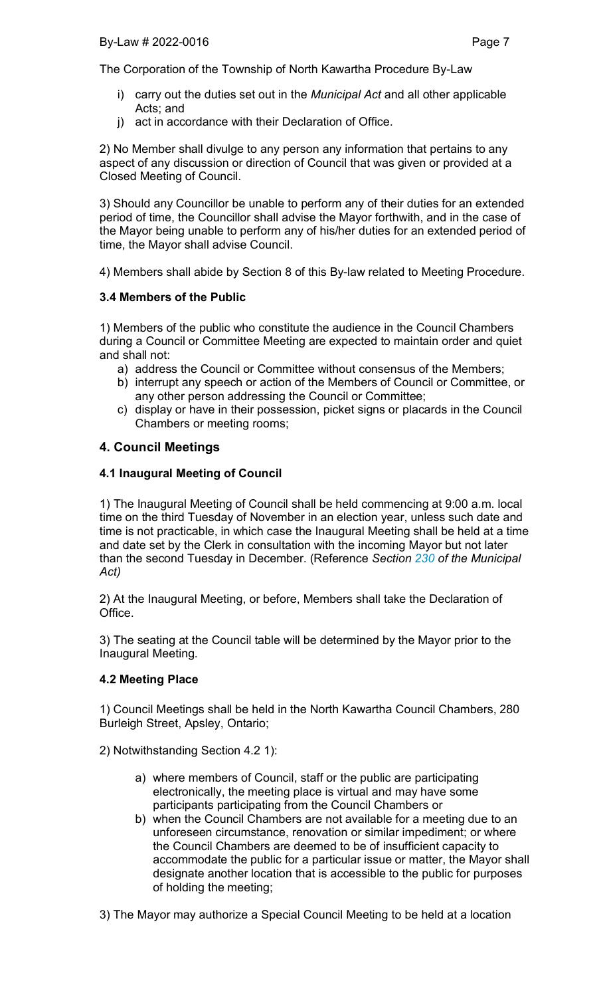- i) carry out the duties set out in the *Municipal Act* and all other applicable Acts; and
- j) act in accordance with their Declaration of Office.

2) No Member shall divulge to any person any information that pertains to any aspect of any discussion or direction of Council that was given or provided at a Closed Meeting of Council.

3) Should any Councillor be unable to perform any of their duties for an extended period of time, the Councillor shall advise the Mayor forthwith, and in the case of the Mayor being unable to perform any of his/her duties for an extended period of time, the Mayor shall advise Council.

4) Members shall abide by Section 8 of this By-law related to Meeting Procedure.

# 3.4 Members of the Public

1) Members of the public who constitute the audience in the Council Chambers during a Council or Committee Meeting are expected to maintain order and quiet and shall not:

- a) address the Council or Committee without consensus of the Members;
- b) interrupt any speech or action of the Members of Council or Committee, or any other person addressing the Council or Committee;
- c) display or have in their possession, picket signs or placards in the Council Chambers or meeting rooms;

# 4. Council Meetings

# 4.1 Inaugural Meeting of Council

1) The Inaugural Meeting of Council shall be held commencing at 9:00 a.m. local time on the third Tuesday of November in an election year, unless such date and time is not practicable, in which case the Inaugural Meeting shall be held at a time and date set by the Clerk in consultation with the incoming Mayor but not later than the second Tuesday in December. (Reference *Section 230 of the Municipal Act)*

2) At the Inaugural Meeting, or before, Members shall take the Declaration of Office.

3) The seating at the Council table will be determined by the Mayor prior to the Inaugural Meeting.

## 4.2 Meeting Place

1) Council Meetings shall be held in the North Kawartha Council Chambers, 280 Burleigh Street, Apsley, Ontario;

2) Notwithstanding Section 4.2 1):

- a) where members of Council, staff or the public are participating electronically, the meeting place is virtual and may have some participants participating from the Council Chambers or
- b) when the Council Chambers are not available for a meeting due to an unforeseen circumstance, renovation or similar impediment; or where the Council Chambers are deemed to be of insufficient capacity to accommodate the public for a particular issue or matter, the Mayor shall designate another location that is accessible to the public for purposes of holding the meeting;
- 3) The Mayor may authorize a Special Council Meeting to be held at a location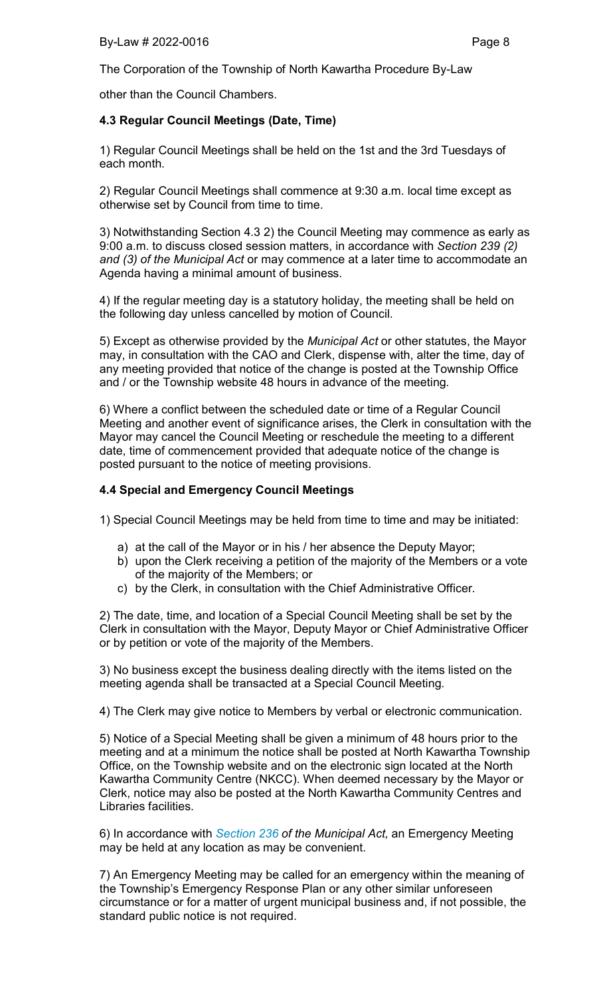other than the Council Chambers.

## 4.3 Regular Council Meetings (Date, Time)

1) Regular Council Meetings shall be held on the 1st and the 3rd Tuesdays of each month.

2) Regular Council Meetings shall commence at 9:30 a.m. local time except as otherwise set by Council from time to time.

3) Notwithstanding Section 4.3 2) the Council Meeting may commence as early as 9:00 a.m. to discuss closed session matters, in accordance with *Section 239 (2) and (3) of the Municipal Act* or may commence at a later time to accommodate an Agenda having a minimal amount of business.

4) If the regular meeting day is a statutory holiday, the meeting shall be held on the following day unless cancelled by motion of Council.

5) Except as otherwise provided by the *Municipal Act* or other statutes, the Mayor may, in consultation with the CAO and Clerk, dispense with, alter the time, day of any meeting provided that notice of the change is posted at the Township Office and / or the Township website 48 hours in advance of the meeting.

6) Where a conflict between the scheduled date or time of a Regular Council Meeting and another event of significance arises, the Clerk in consultation with the Mayor may cancel the Council Meeting or reschedule the meeting to a different date, time of commencement provided that adequate notice of the change is posted pursuant to the notice of meeting provisions.

### 4.4 Special and Emergency Council Meetings

1) Special Council Meetings may be held from time to time and may be initiated:

- a) at the call of the Mayor or in his / her absence the Deputy Mayor;
- b) upon the Clerk receiving a petition of the majority of the Members or a vote of the majority of the Members; or
- c) by the Clerk, in consultation with the Chief Administrative Officer.

2) The date, time, and location of a Special Council Meeting shall be set by the Clerk in consultation with the Mayor, Deputy Mayor or Chief Administrative Officer or by petition or vote of the majority of the Members.

3) No business except the business dealing directly with the items listed on the meeting agenda shall be transacted at a Special Council Meeting.

4) The Clerk may give notice to Members by verbal or electronic communication.

5) Notice of a Special Meeting shall be given a minimum of 48 hours prior to the meeting and at a minimum the notice shall be posted at North Kawartha Township Office, on the Township website and on the electronic sign located at the North Kawartha Community Centre (NKCC). When deemed necessary by the Mayor or Clerk, notice may also be posted at the North Kawartha Community Centres and Libraries facilities.

6) In accordance with *Section 236 of the Municipal Act,* an Emergency Meeting may be held at any location as may be convenient.

7) An Emergency Meeting may be called for an emergency within the meaning of the Township's Emergency Response Plan or any other similar unforeseen circumstance or for a matter of urgent municipal business and, if not possible, the standard public notice is not required.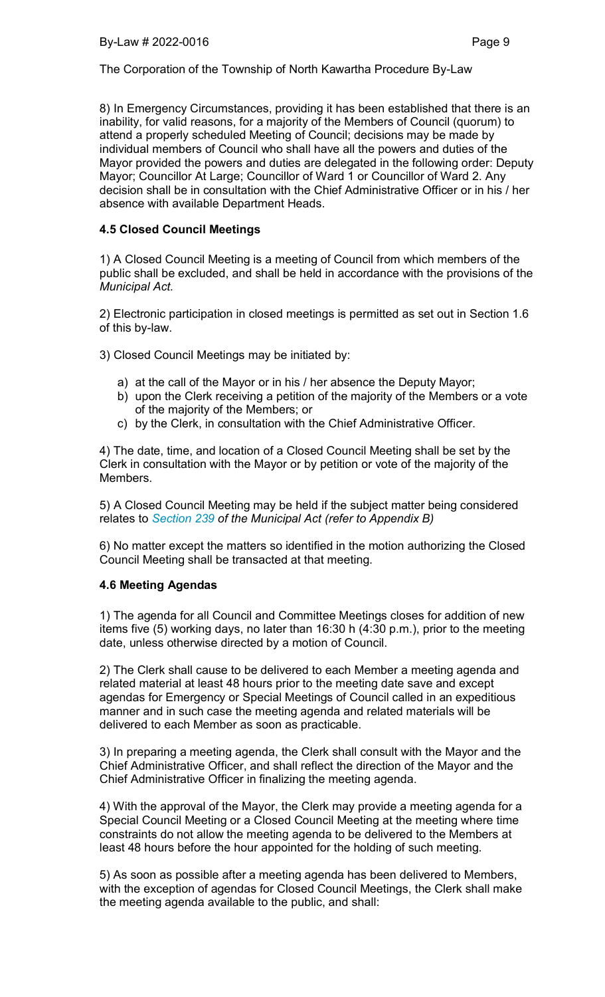8) In Emergency Circumstances, providing it has been established that there is an inability, for valid reasons, for a majority of the Members of Council (quorum) to attend a properly scheduled Meeting of Council; decisions may be made by individual members of Council who shall have all the powers and duties of the Mayor provided the powers and duties are delegated in the following order: Deputy Mayor; Councillor At Large; Councillor of Ward 1 or Councillor of Ward 2. Any decision shall be in consultation with the Chief Administrative Officer or in his / her absence with available Department Heads.

## 4.5 Closed Council Meetings

1) A Closed Council Meeting is a meeting of Council from which members of the public shall be excluded, and shall be held in accordance with the provisions of the *Municipal Act.*

2) Electronic participation in closed meetings is permitted as set out in Section 1.6 of this by-law.

3) Closed Council Meetings may be initiated by:

- a) at the call of the Mayor or in his / her absence the Deputy Mayor;
- b) upon the Clerk receiving a petition of the majority of the Members or a vote of the majority of the Members; or
- c) by the Clerk, in consultation with the Chief Administrative Officer.

4) The date, time, and location of a Closed Council Meeting shall be set by the Clerk in consultation with the Mayor or by petition or vote of the majority of the Members.

5) A Closed Council Meeting may be held if the subject matter being considered relates to *Section 239 of the Municipal Act (refer to Appendix B)*

6) No matter except the matters so identified in the motion authorizing the Closed Council Meeting shall be transacted at that meeting.

## 4.6 Meeting Agendas

1) The agenda for all Council and Committee Meetings closes for addition of new items five (5) working days, no later than 16:30 h (4:30 p.m.), prior to the meeting date, unless otherwise directed by a motion of Council.

2) The Clerk shall cause to be delivered to each Member a meeting agenda and related material at least 48 hours prior to the meeting date save and except agendas for Emergency or Special Meetings of Council called in an expeditious manner and in such case the meeting agenda and related materials will be delivered to each Member as soon as practicable.

3) In preparing a meeting agenda, the Clerk shall consult with the Mayor and the Chief Administrative Officer, and shall reflect the direction of the Mayor and the Chief Administrative Officer in finalizing the meeting agenda.

4) With the approval of the Mayor, the Clerk may provide a meeting agenda for a Special Council Meeting or a Closed Council Meeting at the meeting where time constraints do not allow the meeting agenda to be delivered to the Members at least 48 hours before the hour appointed for the holding of such meeting.

5) As soon as possible after a meeting agenda has been delivered to Members, with the exception of agendas for Closed Council Meetings, the Clerk shall make the meeting agenda available to the public, and shall: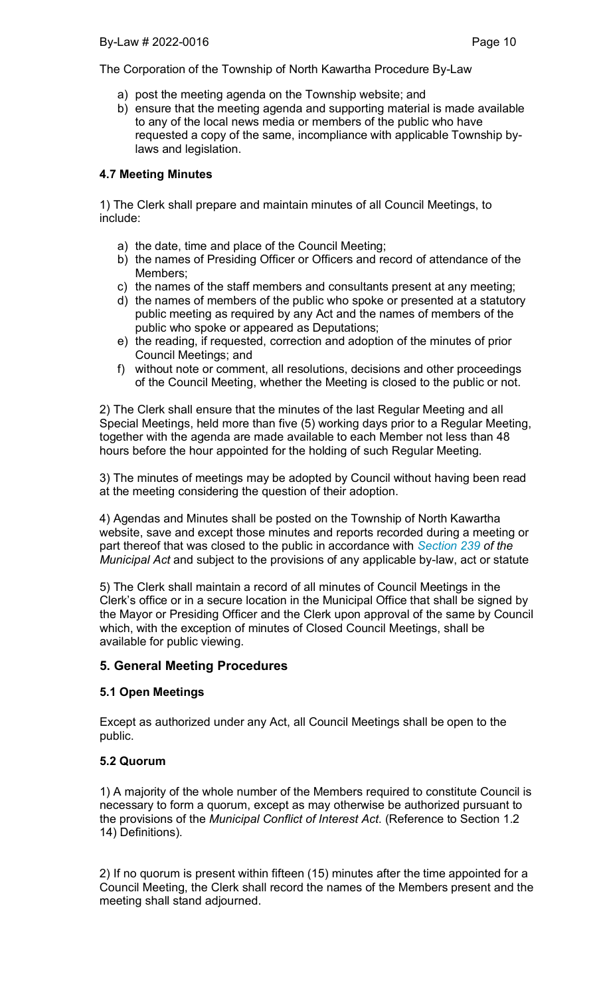- a) post the meeting agenda on the Township website; and
- b) ensure that the meeting agenda and supporting material is made available to any of the local news media or members of the public who have requested a copy of the same, incompliance with applicable Township bylaws and legislation.

# 4.7 Meeting Minutes

1) The Clerk shall prepare and maintain minutes of all Council Meetings, to include:

- a) the date, time and place of the Council Meeting;
- b) the names of Presiding Officer or Officers and record of attendance of the Members;
- c) the names of the staff members and consultants present at any meeting;
- d) the names of members of the public who spoke or presented at a statutory public meeting as required by any Act and the names of members of the public who spoke or appeared as Deputations;
- e) the reading, if requested, correction and adoption of the minutes of prior Council Meetings; and
- f) without note or comment, all resolutions, decisions and other proceedings of the Council Meeting, whether the Meeting is closed to the public or not.

2) The Clerk shall ensure that the minutes of the last Regular Meeting and all Special Meetings, held more than five (5) working days prior to a Regular Meeting, together with the agenda are made available to each Member not less than 48 hours before the hour appointed for the holding of such Regular Meeting.

3) The minutes of meetings may be adopted by Council without having been read at the meeting considering the question of their adoption.

4) Agendas and Minutes shall be posted on the Township of North Kawartha website, save and except those minutes and reports recorded during a meeting or part thereof that was closed to the public in accordance with *Section 239 of the Municipal Act* and subject to the provisions of any applicable by-law, act or statute

5) The Clerk shall maintain a record of all minutes of Council Meetings in the Clerk's office or in a secure location in the Municipal Office that shall be signed by the Mayor or Presiding Officer and the Clerk upon approval of the same by Council which, with the exception of minutes of Closed Council Meetings, shall be available for public viewing.

# 5. General Meeting Procedures

# 5.1 Open Meetings

Except as authorized under any Act, all Council Meetings shall be open to the public.

# 5.2 Quorum

1) A majority of the whole number of the Members required to constitute Council is necessary to form a quorum, except as may otherwise be authorized pursuant to the provisions of the *Municipal Conflict of Interest Act*. (Reference to Section 1.2 14) Definitions).

2) If no quorum is present within fifteen (15) minutes after the time appointed for a Council Meeting, the Clerk shall record the names of the Members present and the meeting shall stand adjourned.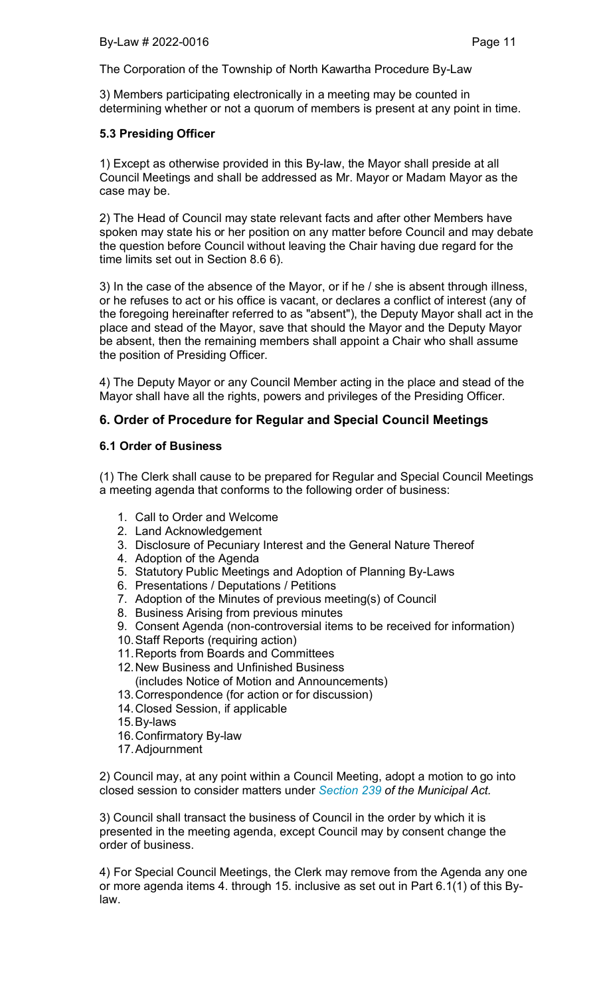3) Members participating electronically in a meeting may be counted in determining whether or not a quorum of members is present at any point in time.

## 5.3 Presiding Officer

1) Except as otherwise provided in this By-law, the Mayor shall preside at all Council Meetings and shall be addressed as Mr. Mayor or Madam Mayor as the case may be.

2) The Head of Council may state relevant facts and after other Members have spoken may state his or her position on any matter before Council and may debate the question before Council without leaving the Chair having due regard for the time limits set out in Section 8.6 6).

3) In the case of the absence of the Mayor, or if he / she is absent through illness, or he refuses to act or his office is vacant, or declares a conflict of interest (any of the foregoing hereinafter referred to as "absent"), the Deputy Mayor shall act in the place and stead of the Mayor, save that should the Mayor and the Deputy Mayor be absent, then the remaining members shall appoint a Chair who shall assume the position of Presiding Officer.

4) The Deputy Mayor or any Council Member acting in the place and stead of the Mayor shall have all the rights, powers and privileges of the Presiding Officer.

# 6. Order of Procedure for Regular and Special Council Meetings

## 6.1 Order of Business

(1) The Clerk shall cause to be prepared for Regular and Special Council Meetings a meeting agenda that conforms to the following order of business:

- 1. Call to Order and Welcome
- 2. Land Acknowledgement
- 3. Disclosure of Pecuniary Interest and the General Nature Thereof
- 4. Adoption of the Agenda
- 5. Statutory Public Meetings and Adoption of Planning By-Laws
- 6. Presentations / Deputations / Petitions
- 7. Adoption of the Minutes of previous meeting(s) of Council
- 8. Business Arising from previous minutes
- 9. Consent Agenda (non-controversial items to be received for information)
- 10. Staff Reports (requiring action)
- 11. Reports from Boards and Committees
- 12. New Business and Unfinished Business
- (includes Notice of Motion and Announcements)
- 13. Correspondence (for action or for discussion)
- 14. Closed Session, if applicable
- 15. By-laws
- 16. Confirmatory By-law
- 17. Adjournment

2) Council may, at any point within a Council Meeting, adopt a motion to go into closed session to consider matters under *Section 239 of the Municipal Act.*

3) Council shall transact the business of Council in the order by which it is presented in the meeting agenda, except Council may by consent change the order of business.

4) For Special Council Meetings, the Clerk may remove from the Agenda any one or more agenda items 4. through 15. inclusive as set out in Part 6.1(1) of this Bylaw.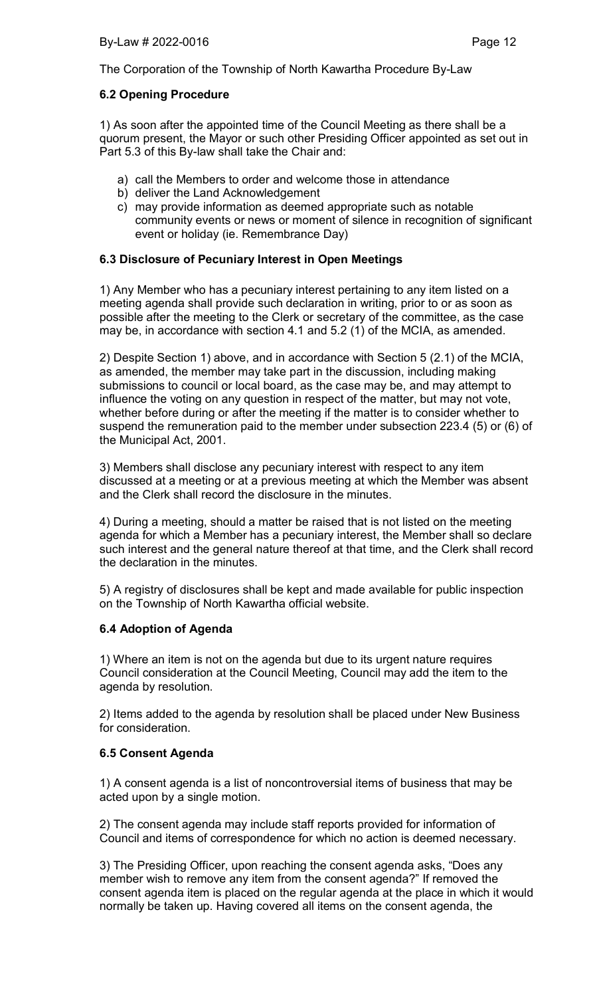## 6.2 Opening Procedure

1) As soon after the appointed time of the Council Meeting as there shall be a quorum present, the Mayor or such other Presiding Officer appointed as set out in Part 5.3 of this By-law shall take the Chair and:

- a) call the Members to order and welcome those in attendance
- b) deliver the Land Acknowledgement
- c) may provide information as deemed appropriate such as notable community events or news or moment of silence in recognition of significant event or holiday (ie. Remembrance Day)

# 6.3 Disclosure of Pecuniary Interest in Open Meetings

1) Any Member who has a pecuniary interest pertaining to any item listed on a meeting agenda shall provide such declaration in writing, prior to or as soon as possible after the meeting to the Clerk or secretary of the committee, as the case may be, in accordance with section 4.1 and 5.2 (1) of the MCIA, as amended.

2) Despite Section 1) above, and in accordance with Section 5 (2.1) of the MCIA, as amended, the member may take part in the discussion, including making submissions to council or local board, as the case may be, and may attempt to influence the voting on any question in respect of the matter, but may not vote, whether before during or after the meeting if the matter is to consider whether to suspend the remuneration paid to the member under subsection 223.4 (5) or (6) of the Municipal Act, 2001.

3) Members shall disclose any pecuniary interest with respect to any item discussed at a meeting or at a previous meeting at which the Member was absent and the Clerk shall record the disclosure in the minutes.

4) During a meeting, should a matter be raised that is not listed on the meeting agenda for which a Member has a pecuniary interest, the Member shall so declare such interest and the general nature thereof at that time, and the Clerk shall record the declaration in the minutes.

5) A registry of disclosures shall be kept and made available for public inspection on the Township of North Kawartha official website.

## 6.4 Adoption of Agenda

1) Where an item is not on the agenda but due to its urgent nature requires Council consideration at the Council Meeting, Council may add the item to the agenda by resolution.

2) Items added to the agenda by resolution shall be placed under New Business for consideration.

## 6.5 Consent Agenda

1) A consent agenda is a list of noncontroversial items of business that may be acted upon by a single motion.

2) The consent agenda may include staff reports provided for information of Council and items of correspondence for which no action is deemed necessary.

3) The Presiding Officer, upon reaching the consent agenda asks, "Does any member wish to remove any item from the consent agenda?" If removed the consent agenda item is placed on the regular agenda at the place in which it would normally be taken up. Having covered all items on the consent agenda, the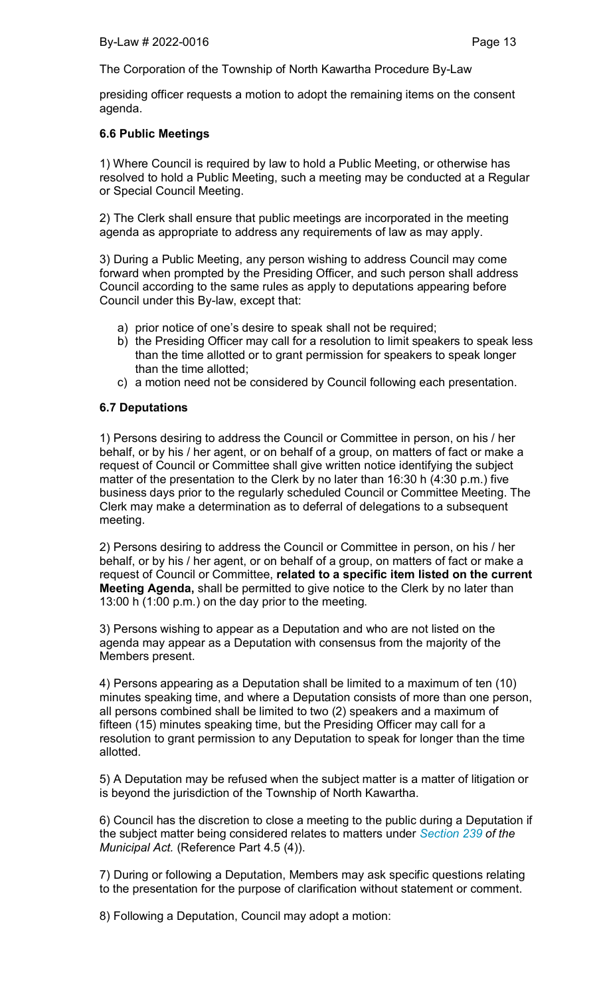presiding officer requests a motion to adopt the remaining items on the consent agenda.

## 6.6 Public Meetings

1) Where Council is required by law to hold a Public Meeting, or otherwise has resolved to hold a Public Meeting, such a meeting may be conducted at a Regular or Special Council Meeting.

2) The Clerk shall ensure that public meetings are incorporated in the meeting agenda as appropriate to address any requirements of law as may apply.

3) During a Public Meeting, any person wishing to address Council may come forward when prompted by the Presiding Officer, and such person shall address Council according to the same rules as apply to deputations appearing before Council under this By-law, except that:

- a) prior notice of one's desire to speak shall not be required;
- b) the Presiding Officer may call for a resolution to limit speakers to speak less than the time allotted or to grant permission for speakers to speak longer than the time allotted;
- c) a motion need not be considered by Council following each presentation.

## 6.7 Deputations

1) Persons desiring to address the Council or Committee in person, on his / her behalf, or by his / her agent, or on behalf of a group, on matters of fact or make a request of Council or Committee shall give written notice identifying the subject matter of the presentation to the Clerk by no later than 16:30 h (4:30 p.m.) five business days prior to the regularly scheduled Council or Committee Meeting. The Clerk may make a determination as to deferral of delegations to a subsequent meeting.

2) Persons desiring to address the Council or Committee in person, on his / her behalf, or by his / her agent, or on behalf of a group, on matters of fact or make a request of Council or Committee, related to a specific item listed on the current Meeting Agenda, shall be permitted to give notice to the Clerk by no later than 13:00 h (1:00 p.m.) on the day prior to the meeting.

3) Persons wishing to appear as a Deputation and who are not listed on the agenda may appear as a Deputation with consensus from the majority of the Members present.

4) Persons appearing as a Deputation shall be limited to a maximum of ten (10) minutes speaking time, and where a Deputation consists of more than one person, all persons combined shall be limited to two (2) speakers and a maximum of fifteen (15) minutes speaking time, but the Presiding Officer may call for a resolution to grant permission to any Deputation to speak for longer than the time allotted.

5) A Deputation may be refused when the subject matter is a matter of litigation or is beyond the jurisdiction of the Township of North Kawartha.

6) Council has the discretion to close a meeting to the public during a Deputation if the subject matter being considered relates to matters under *Section 239 of the Municipal Act.* (Reference Part 4.5 (4)).

7) During or following a Deputation, Members may ask specific questions relating to the presentation for the purpose of clarification without statement or comment.

8) Following a Deputation, Council may adopt a motion: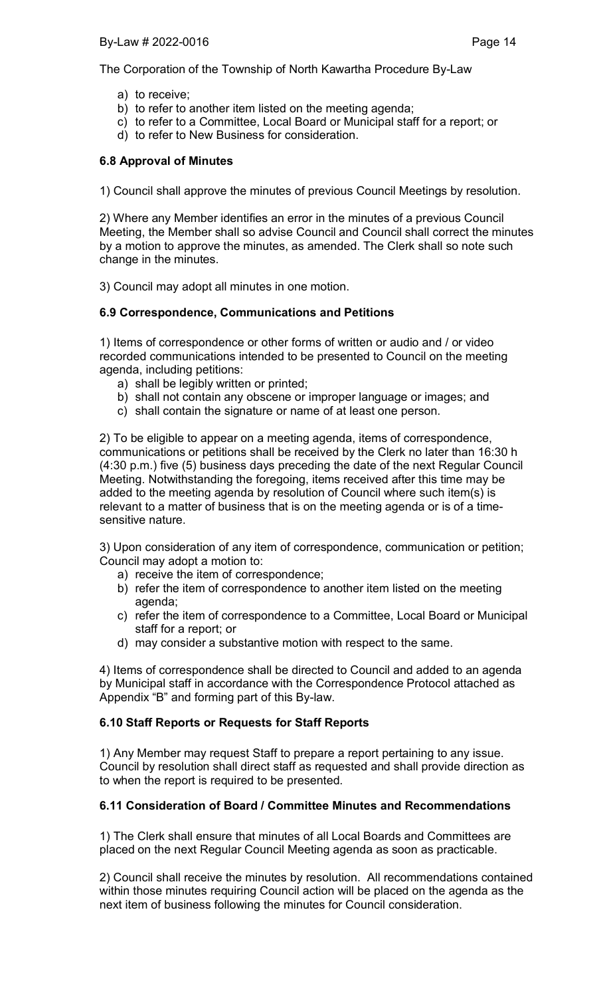- a) to receive;
- b) to refer to another item listed on the meeting agenda;
- c) to refer to a Committee, Local Board or Municipal staff for a report; or
- d) to refer to New Business for consideration.

# 6.8 Approval of Minutes

1) Council shall approve the minutes of previous Council Meetings by resolution.

2) Where any Member identifies an error in the minutes of a previous Council Meeting, the Member shall so advise Council and Council shall correct the minutes by a motion to approve the minutes, as amended. The Clerk shall so note such change in the minutes.

3) Council may adopt all minutes in one motion.

# 6.9 Correspondence, Communications and Petitions

1) Items of correspondence or other forms of written or audio and / or video recorded communications intended to be presented to Council on the meeting agenda, including petitions:

- a) shall be legibly written or printed;
- b) shall not contain any obscene or improper language or images; and
- c) shall contain the signature or name of at least one person.

2) To be eligible to appear on a meeting agenda, items of correspondence, communications or petitions shall be received by the Clerk no later than 16:30 h (4:30 p.m.) five (5) business days preceding the date of the next Regular Council Meeting. Notwithstanding the foregoing, items received after this time may be added to the meeting agenda by resolution of Council where such item(s) is relevant to a matter of business that is on the meeting agenda or is of a timesensitive nature.

3) Upon consideration of any item of correspondence, communication or petition; Council may adopt a motion to:

- a) receive the item of correspondence;
- b) refer the item of correspondence to another item listed on the meeting agenda;
- c) refer the item of correspondence to a Committee, Local Board or Municipal staff for a report; or
- d) may consider a substantive motion with respect to the same.

4) Items of correspondence shall be directed to Council and added to an agenda by Municipal staff in accordance with the Correspondence Protocol attached as Appendix "B" and forming part of this By-law.

# 6.10 Staff Reports or Requests for Staff Reports

1) Any Member may request Staff to prepare a report pertaining to any issue. Council by resolution shall direct staff as requested and shall provide direction as to when the report is required to be presented.

# 6.11 Consideration of Board / Committee Minutes and Recommendations

1) The Clerk shall ensure that minutes of all Local Boards and Committees are placed on the next Regular Council Meeting agenda as soon as practicable.

2) Council shall receive the minutes by resolution. All recommendations contained within those minutes requiring Council action will be placed on the agenda as the next item of business following the minutes for Council consideration.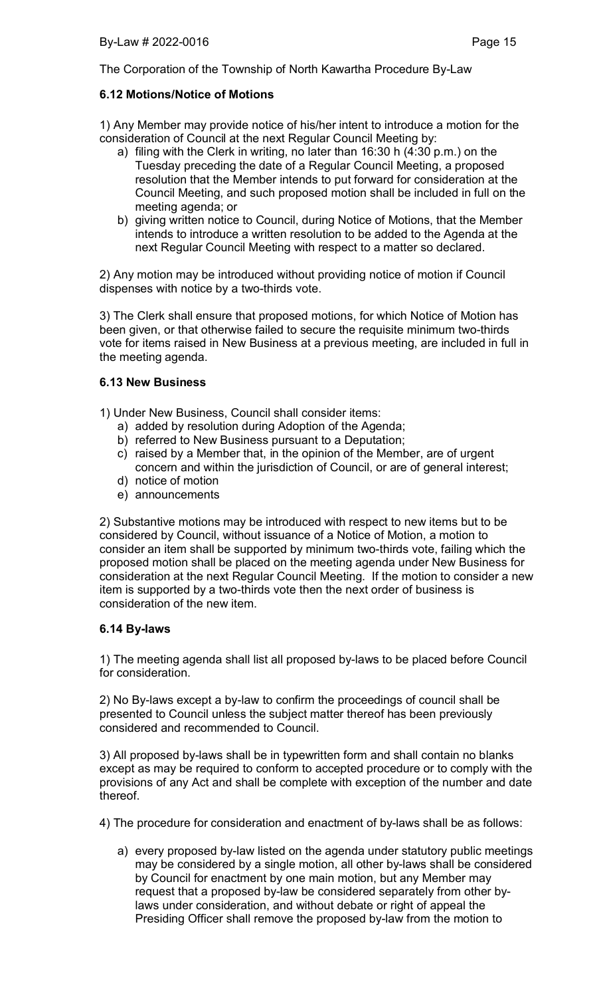## 6.12 Motions/Notice of Motions

1) Any Member may provide notice of his/her intent to introduce a motion for the consideration of Council at the next Regular Council Meeting by:

- a) filing with the Clerk in writing, no later than 16:30 h (4:30 p.m.) on the Tuesday preceding the date of a Regular Council Meeting, a proposed resolution that the Member intends to put forward for consideration at the Council Meeting, and such proposed motion shall be included in full on the meeting agenda; or
- b) giving written notice to Council, during Notice of Motions, that the Member intends to introduce a written resolution to be added to the Agenda at the next Regular Council Meeting with respect to a matter so declared.

2) Any motion may be introduced without providing notice of motion if Council dispenses with notice by a two-thirds vote.

3) The Clerk shall ensure that proposed motions, for which Notice of Motion has been given, or that otherwise failed to secure the requisite minimum two-thirds vote for items raised in New Business at a previous meeting, are included in full in the meeting agenda.

## 6.13 New Business

- 1) Under New Business, Council shall consider items:
	- a) added by resolution during Adoption of the Agenda;
	- b) referred to New Business pursuant to a Deputation;
	- c) raised by a Member that, in the opinion of the Member, are of urgent concern and within the jurisdiction of Council, or are of general interest;
	- d) notice of motion
	- e) announcements

2) Substantive motions may be introduced with respect to new items but to be considered by Council, without issuance of a Notice of Motion, a motion to consider an item shall be supported by minimum two-thirds vote, failing which the proposed motion shall be placed on the meeting agenda under New Business for consideration at the next Regular Council Meeting. If the motion to consider a new item is supported by a two-thirds vote then the next order of business is consideration of the new item.

## 6.14 By-laws

1) The meeting agenda shall list all proposed by-laws to be placed before Council for consideration.

2) No By-laws except a by-law to confirm the proceedings of council shall be presented to Council unless the subject matter thereof has been previously considered and recommended to Council.

3) All proposed by-laws shall be in typewritten form and shall contain no blanks except as may be required to conform to accepted procedure or to comply with the provisions of any Act and shall be complete with exception of the number and date thereof.

4) The procedure for consideration and enactment of by-laws shall be as follows:

a) every proposed by-law listed on the agenda under statutory public meetings may be considered by a single motion, all other by-laws shall be considered by Council for enactment by one main motion, but any Member may request that a proposed by-law be considered separately from other bylaws under consideration, and without debate or right of appeal the Presiding Officer shall remove the proposed by-law from the motion to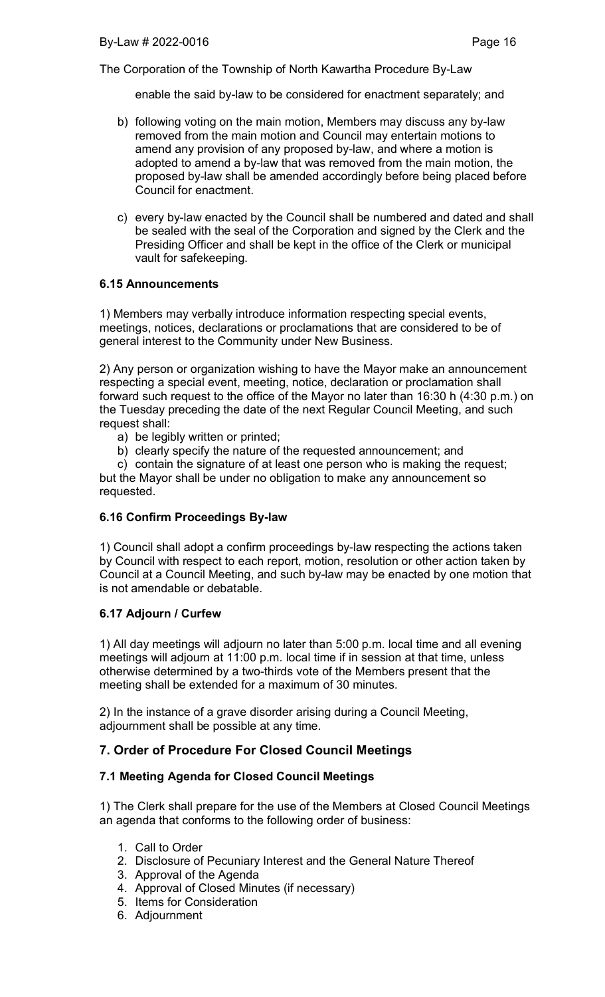enable the said by-law to be considered for enactment separately; and

- b) following voting on the main motion, Members may discuss any by-law removed from the main motion and Council may entertain motions to amend any provision of any proposed by-law, and where a motion is adopted to amend a by-law that was removed from the main motion, the proposed by-law shall be amended accordingly before being placed before Council for enactment.
- c) every by-law enacted by the Council shall be numbered and dated and shall be sealed with the seal of the Corporation and signed by the Clerk and the Presiding Officer and shall be kept in the office of the Clerk or municipal vault for safekeeping.

## 6.15 Announcements

1) Members may verbally introduce information respecting special events, meetings, notices, declarations or proclamations that are considered to be of general interest to the Community under New Business.

2) Any person or organization wishing to have the Mayor make an announcement respecting a special event, meeting, notice, declaration or proclamation shall forward such request to the office of the Mayor no later than 16:30 h (4:30 p.m.) on the Tuesday preceding the date of the next Regular Council Meeting, and such request shall:

a) be legibly written or printed;

b) clearly specify the nature of the requested announcement; and

c) contain the signature of at least one person who is making the request; but the Mayor shall be under no obligation to make any announcement so requested.

## 6.16 Confirm Proceedings By-law

1) Council shall adopt a confirm proceedings by-law respecting the actions taken by Council with respect to each report, motion, resolution or other action taken by Council at a Council Meeting, and such by-law may be enacted by one motion that is not amendable or debatable.

## 6.17 Adjourn / Curfew

1) All day meetings will adjourn no later than 5:00 p.m. local time and all evening meetings will adjourn at 11:00 p.m. local time if in session at that time, unless otherwise determined by a two-thirds vote of the Members present that the meeting shall be extended for a maximum of 30 minutes.

2) In the instance of a grave disorder arising during a Council Meeting, adjournment shall be possible at any time.

# 7. Order of Procedure For Closed Council Meetings

## 7.1 Meeting Agenda for Closed Council Meetings

1) The Clerk shall prepare for the use of the Members at Closed Council Meetings an agenda that conforms to the following order of business:

- 1. Call to Order
- 2. Disclosure of Pecuniary Interest and the General Nature Thereof
- 3. Approval of the Agenda
- 4. Approval of Closed Minutes (if necessary)
- 5. Items for Consideration
- 6. Adjournment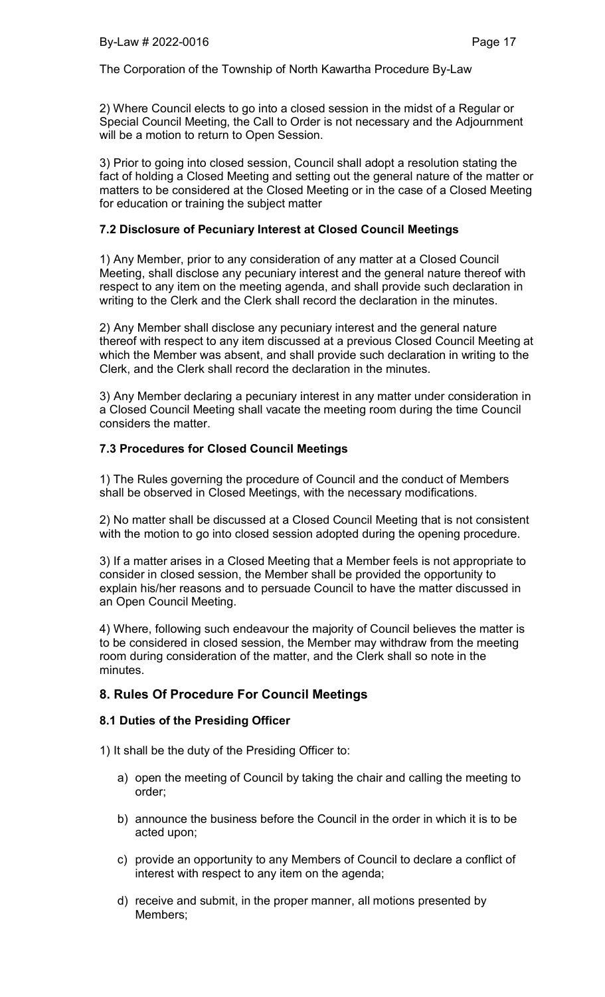2) Where Council elects to go into a closed session in the midst of a Regular or Special Council Meeting, the Call to Order is not necessary and the Adjournment will be a motion to return to Open Session.

3) Prior to going into closed session, Council shall adopt a resolution stating the fact of holding a Closed Meeting and setting out the general nature of the matter or matters to be considered at the Closed Meeting or in the case of a Closed Meeting for education or training the subject matter

## 7.2 Disclosure of Pecuniary Interest at Closed Council Meetings

1) Any Member, prior to any consideration of any matter at a Closed Council Meeting, shall disclose any pecuniary interest and the general nature thereof with respect to any item on the meeting agenda, and shall provide such declaration in writing to the Clerk and the Clerk shall record the declaration in the minutes.

2) Any Member shall disclose any pecuniary interest and the general nature thereof with respect to any item discussed at a previous Closed Council Meeting at which the Member was absent, and shall provide such declaration in writing to the Clerk, and the Clerk shall record the declaration in the minutes.

3) Any Member declaring a pecuniary interest in any matter under consideration in a Closed Council Meeting shall vacate the meeting room during the time Council considers the matter.

## 7.3 Procedures for Closed Council Meetings

1) The Rules governing the procedure of Council and the conduct of Members shall be observed in Closed Meetings, with the necessary modifications.

2) No matter shall be discussed at a Closed Council Meeting that is not consistent with the motion to go into closed session adopted during the opening procedure.

3) If a matter arises in a Closed Meeting that a Member feels is not appropriate to consider in closed session, the Member shall be provided the opportunity to explain his/her reasons and to persuade Council to have the matter discussed in an Open Council Meeting.

4) Where, following such endeavour the majority of Council believes the matter is to be considered in closed session, the Member may withdraw from the meeting room during consideration of the matter, and the Clerk shall so note in the minutes.

## 8. Rules Of Procedure For Council Meetings

## 8.1 Duties of the Presiding Officer

1) It shall be the duty of the Presiding Officer to:

- a) open the meeting of Council by taking the chair and calling the meeting to order;
- b) announce the business before the Council in the order in which it is to be acted upon;
- c) provide an opportunity to any Members of Council to declare a conflict of interest with respect to any item on the agenda;
- d) receive and submit, in the proper manner, all motions presented by Members;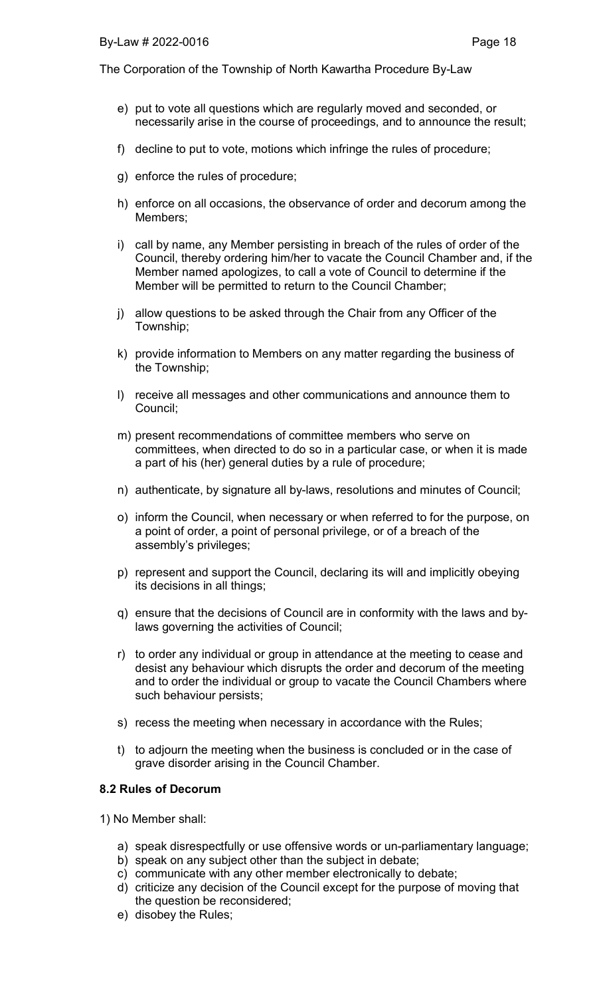- e) put to vote all questions which are regularly moved and seconded, or necessarily arise in the course of proceedings, and to announce the result;
- f) decline to put to vote, motions which infringe the rules of procedure;
- g) enforce the rules of procedure;
- h) enforce on all occasions, the observance of order and decorum among the Members;
- i) call by name, any Member persisting in breach of the rules of order of the Council, thereby ordering him/her to vacate the Council Chamber and, if the Member named apologizes, to call a vote of Council to determine if the Member will be permitted to return to the Council Chamber;
- j) allow questions to be asked through the Chair from any Officer of the Township;
- k) provide information to Members on any matter regarding the business of the Township;
- l) receive all messages and other communications and announce them to Council;
- m) present recommendations of committee members who serve on committees, when directed to do so in a particular case, or when it is made a part of his (her) general duties by a rule of procedure;
- n) authenticate, by signature all by-laws, resolutions and minutes of Council;
- o) inform the Council, when necessary or when referred to for the purpose, on a point of order, a point of personal privilege, or of a breach of the assembly's privileges;
- p) represent and support the Council, declaring its will and implicitly obeying its decisions in all things;
- q) ensure that the decisions of Council are in conformity with the laws and bylaws governing the activities of Council;
- r) to order any individual or group in attendance at the meeting to cease and desist any behaviour which disrupts the order and decorum of the meeting and to order the individual or group to vacate the Council Chambers where such behaviour persists;
- s) recess the meeting when necessary in accordance with the Rules;
- t) to adjourn the meeting when the business is concluded or in the case of grave disorder arising in the Council Chamber.

## 8.2 Rules of Decorum

1) No Member shall:

- a) speak disrespectfully or use offensive words or un-parliamentary language;
- b) speak on any subject other than the subject in debate;
- c) communicate with any other member electronically to debate;
- d) criticize any decision of the Council except for the purpose of moving that the question be reconsidered;
- e) disobey the Rules;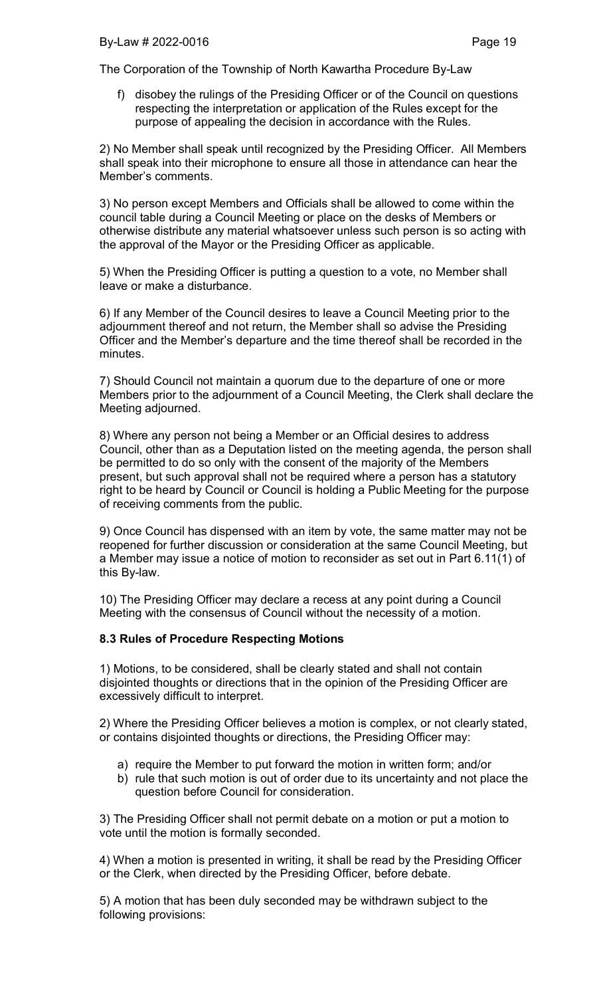f) disobey the rulings of the Presiding Officer or of the Council on questions respecting the interpretation or application of the Rules except for the purpose of appealing the decision in accordance with the Rules.

2) No Member shall speak until recognized by the Presiding Officer. All Members shall speak into their microphone to ensure all those in attendance can hear the Member's comments.

3) No person except Members and Officials shall be allowed to come within the council table during a Council Meeting or place on the desks of Members or otherwise distribute any material whatsoever unless such person is so acting with the approval of the Mayor or the Presiding Officer as applicable.

5) When the Presiding Officer is putting a question to a vote, no Member shall leave or make a disturbance.

6) If any Member of the Council desires to leave a Council Meeting prior to the adjournment thereof and not return, the Member shall so advise the Presiding Officer and the Member's departure and the time thereof shall be recorded in the minutes.

7) Should Council not maintain a quorum due to the departure of one or more Members prior to the adjournment of a Council Meeting, the Clerk shall declare the Meeting adjourned.

8) Where any person not being a Member or an Official desires to address Council, other than as a Deputation listed on the meeting agenda, the person shall be permitted to do so only with the consent of the majority of the Members present, but such approval shall not be required where a person has a statutory right to be heard by Council or Council is holding a Public Meeting for the purpose of receiving comments from the public.

9) Once Council has dispensed with an item by vote, the same matter may not be reopened for further discussion or consideration at the same Council Meeting, but a Member may issue a notice of motion to reconsider as set out in Part 6.11(1) of this By-law.

10) The Presiding Officer may declare a recess at any point during a Council Meeting with the consensus of Council without the necessity of a motion.

#### 8.3 Rules of Procedure Respecting Motions

1) Motions, to be considered, shall be clearly stated and shall not contain disjointed thoughts or directions that in the opinion of the Presiding Officer are excessively difficult to interpret.

2) Where the Presiding Officer believes a motion is complex, or not clearly stated, or contains disjointed thoughts or directions, the Presiding Officer may:

- a) require the Member to put forward the motion in written form; and/or
- b) rule that such motion is out of order due to its uncertainty and not place the question before Council for consideration.

3) The Presiding Officer shall not permit debate on a motion or put a motion to vote until the motion is formally seconded.

4) When a motion is presented in writing, it shall be read by the Presiding Officer or the Clerk, when directed by the Presiding Officer, before debate.

5) A motion that has been duly seconded may be withdrawn subject to the following provisions: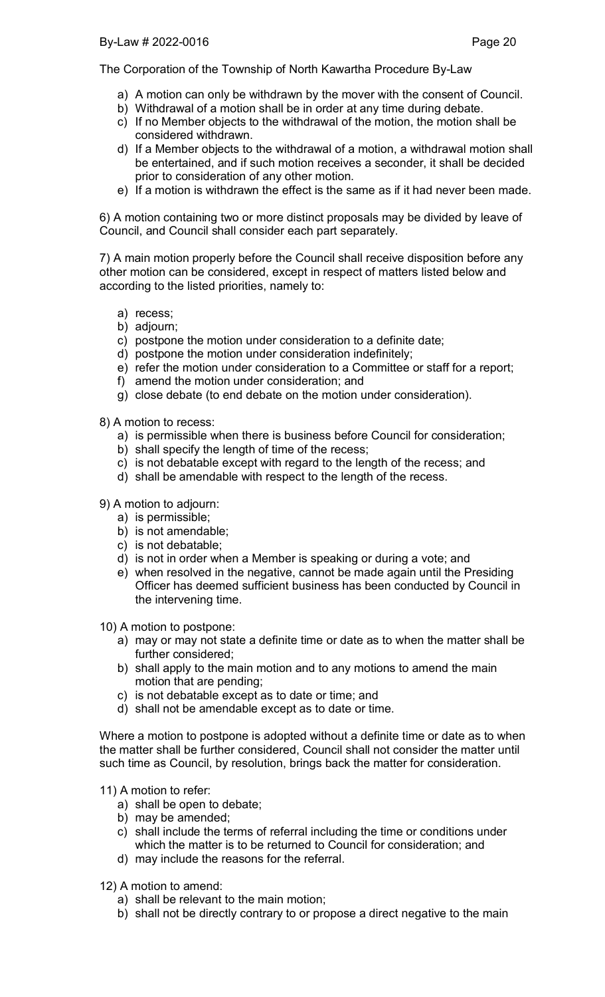- a) A motion can only be withdrawn by the mover with the consent of Council.
- b) Withdrawal of a motion shall be in order at any time during debate.
- c) If no Member objects to the withdrawal of the motion, the motion shall be considered withdrawn.
- d) If a Member objects to the withdrawal of a motion, a withdrawal motion shall be entertained, and if such motion receives a seconder, it shall be decided prior to consideration of any other motion.
- e) If a motion is withdrawn the effect is the same as if it had never been made.

6) A motion containing two or more distinct proposals may be divided by leave of Council, and Council shall consider each part separately.

7) A main motion properly before the Council shall receive disposition before any other motion can be considered, except in respect of matters listed below and according to the listed priorities, namely to:

- a) recess;
- b) adjourn;
- c) postpone the motion under consideration to a definite date;
- d) postpone the motion under consideration indefinitely;
- e) refer the motion under consideration to a Committee or staff for a report;
- f) amend the motion under consideration; and
- g) close debate (to end debate on the motion under consideration).

8) A motion to recess:

- a) is permissible when there is business before Council for consideration;
- b) shall specify the length of time of the recess;
- c) is not debatable except with regard to the length of the recess; and
- d) shall be amendable with respect to the length of the recess.
- 9) A motion to adjourn:
	- a) is permissible;
	- b) is not amendable;
	- c) is not debatable;
	- d) is not in order when a Member is speaking or during a vote; and
	- e) when resolved in the negative, cannot be made again until the Presiding Officer has deemed sufficient business has been conducted by Council in the intervening time.

10) A motion to postpone:

- a) may or may not state a definite time or date as to when the matter shall be further considered;
- b) shall apply to the main motion and to any motions to amend the main motion that are pending;
- c) is not debatable except as to date or time; and
- d) shall not be amendable except as to date or time.

Where a motion to postpone is adopted without a definite time or date as to when the matter shall be further considered, Council shall not consider the matter until such time as Council, by resolution, brings back the matter for consideration.

11) A motion to refer:

- a) shall be open to debate;
- b) may be amended;
- c) shall include the terms of referral including the time or conditions under which the matter is to be returned to Council for consideration; and
- d) may include the reasons for the referral.

12) A motion to amend:

- a) shall be relevant to the main motion;
- b) shall not be directly contrary to or propose a direct negative to the main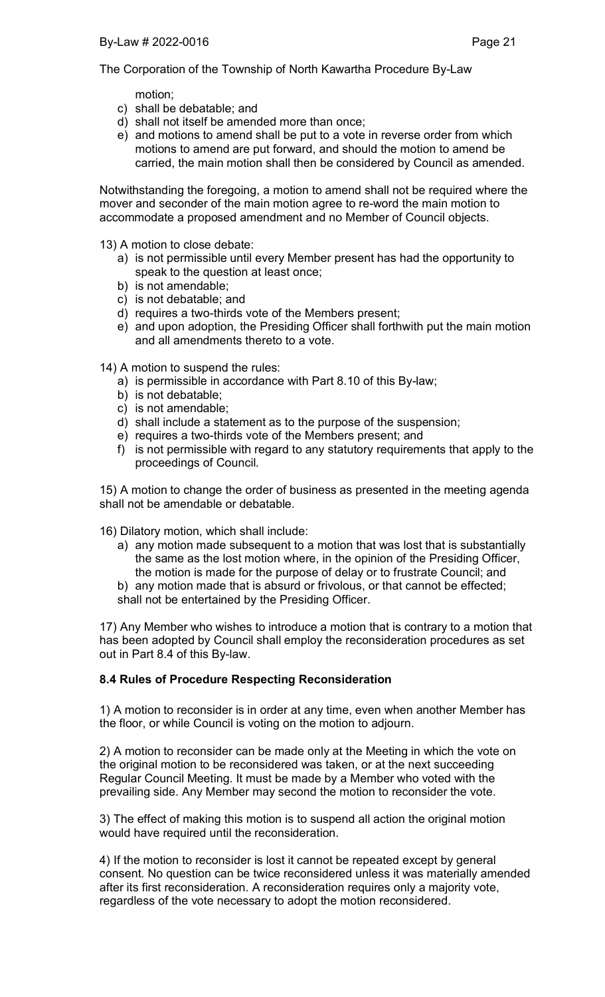motion;

- c) shall be debatable; and
- d) shall not itself be amended more than once;
- e) and motions to amend shall be put to a vote in reverse order from which motions to amend are put forward, and should the motion to amend be carried, the main motion shall then be considered by Council as amended.

Notwithstanding the foregoing, a motion to amend shall not be required where the mover and seconder of the main motion agree to re-word the main motion to accommodate a proposed amendment and no Member of Council objects.

- 13) A motion to close debate:
	- a) is not permissible until every Member present has had the opportunity to speak to the question at least once;
	- b) is not amendable;
	- c) is not debatable; and
	- d) requires a two-thirds vote of the Members present;
	- e) and upon adoption, the Presiding Officer shall forthwith put the main motion and all amendments thereto to a vote.

14) A motion to suspend the rules:

- a) is permissible in accordance with Part 8.10 of this By-law;
- b) is not debatable;
- c) is not amendable;

out in Part 8.4 of this By-law.

- d) shall include a statement as to the purpose of the suspension;
- e) requires a two-thirds vote of the Members present; and
- f) is not permissible with regard to any statutory requirements that apply to the proceedings of Council.

15) A motion to change the order of business as presented in the meeting agenda shall not be amendable or debatable.

- 16) Dilatory motion, which shall include:
	- a) any motion made subsequent to a motion that was lost that is substantially the same as the lost motion where, in the opinion of the Presiding Officer, the motion is made for the purpose of delay or to frustrate Council; and
	- b) any motion made that is absurd or frivolous, or that cannot be effected; shall not be entertained by the Presiding Officer.

17) Any Member who wishes to introduce a motion that is contrary to a motion that has been adopted by Council shall employ the reconsideration procedures as set

## 8.4 Rules of Procedure Respecting Reconsideration

1) A motion to reconsider is in order at any time, even when another Member has the floor, or while Council is voting on the motion to adjourn.

2) A motion to reconsider can be made only at the Meeting in which the vote on the original motion to be reconsidered was taken, or at the next succeeding Regular Council Meeting. It must be made by a Member who voted with the prevailing side. Any Member may second the motion to reconsider the vote.

3) The effect of making this motion is to suspend all action the original motion would have required until the reconsideration.

4) If the motion to reconsider is lost it cannot be repeated except by general consent. No question can be twice reconsidered unless it was materially amended after its first reconsideration. A reconsideration requires only a majority vote, regardless of the vote necessary to adopt the motion reconsidered.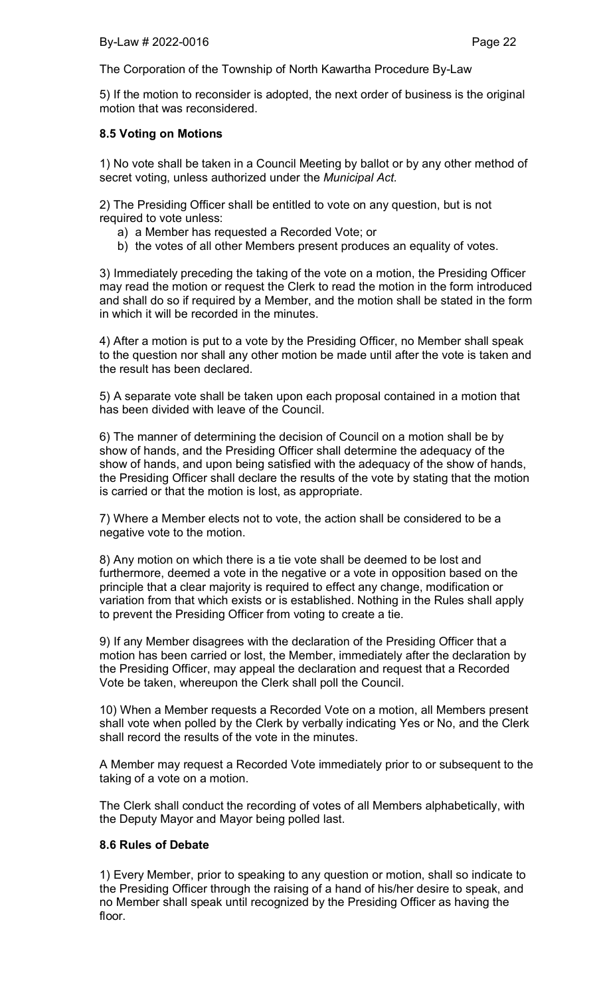5) If the motion to reconsider is adopted, the next order of business is the original motion that was reconsidered.

## 8.5 Voting on Motions

1) No vote shall be taken in a Council Meeting by ballot or by any other method of secret voting, unless authorized under the *Municipal Act.*

2) The Presiding Officer shall be entitled to vote on any question, but is not required to vote unless:

- a) a Member has requested a Recorded Vote; or
- b) the votes of all other Members present produces an equality of votes.

3) Immediately preceding the taking of the vote on a motion, the Presiding Officer may read the motion or request the Clerk to read the motion in the form introduced and shall do so if required by a Member, and the motion shall be stated in the form in which it will be recorded in the minutes.

4) After a motion is put to a vote by the Presiding Officer, no Member shall speak to the question nor shall any other motion be made until after the vote is taken and the result has been declared.

5) A separate vote shall be taken upon each proposal contained in a motion that has been divided with leave of the Council.

6) The manner of determining the decision of Council on a motion shall be by show of hands, and the Presiding Officer shall determine the adequacy of the show of hands, and upon being satisfied with the adequacy of the show of hands, the Presiding Officer shall declare the results of the vote by stating that the motion is carried or that the motion is lost, as appropriate.

7) Where a Member elects not to vote, the action shall be considered to be a negative vote to the motion.

8) Any motion on which there is a tie vote shall be deemed to be lost and furthermore, deemed a vote in the negative or a vote in opposition based on the principle that a clear majority is required to effect any change, modification or variation from that which exists or is established. Nothing in the Rules shall apply to prevent the Presiding Officer from voting to create a tie.

9) If any Member disagrees with the declaration of the Presiding Officer that a motion has been carried or lost, the Member, immediately after the declaration by the Presiding Officer, may appeal the declaration and request that a Recorded Vote be taken, whereupon the Clerk shall poll the Council.

10) When a Member requests a Recorded Vote on a motion, all Members present shall vote when polled by the Clerk by verbally indicating Yes or No, and the Clerk shall record the results of the vote in the minutes.

A Member may request a Recorded Vote immediately prior to or subsequent to the taking of a vote on a motion.

The Clerk shall conduct the recording of votes of all Members alphabetically, with the Deputy Mayor and Mayor being polled last.

## 8.6 Rules of Debate

1) Every Member, prior to speaking to any question or motion, shall so indicate to the Presiding Officer through the raising of a hand of his/her desire to speak, and no Member shall speak until recognized by the Presiding Officer as having the floor.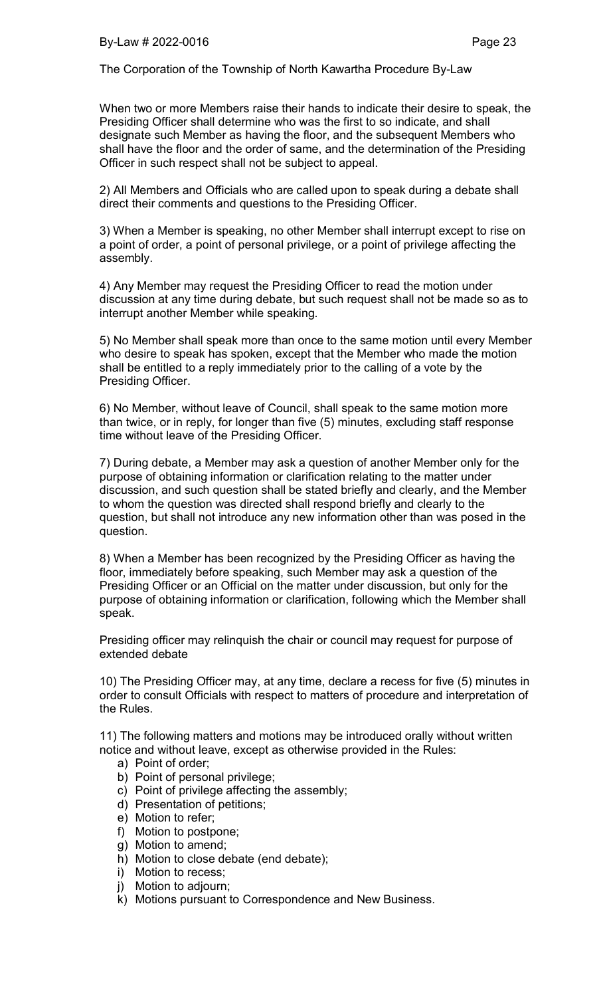When two or more Members raise their hands to indicate their desire to speak, the Presiding Officer shall determine who was the first to so indicate, and shall designate such Member as having the floor, and the subsequent Members who shall have the floor and the order of same, and the determination of the Presiding Officer in such respect shall not be subject to appeal.

2) All Members and Officials who are called upon to speak during a debate shall direct their comments and questions to the Presiding Officer.

3) When a Member is speaking, no other Member shall interrupt except to rise on a point of order, a point of personal privilege, or a point of privilege affecting the assembly.

4) Any Member may request the Presiding Officer to read the motion under discussion at any time during debate, but such request shall not be made so as to interrupt another Member while speaking.

5) No Member shall speak more than once to the same motion until every Member who desire to speak has spoken, except that the Member who made the motion shall be entitled to a reply immediately prior to the calling of a vote by the Presiding Officer.

6) No Member, without leave of Council, shall speak to the same motion more than twice, or in reply, for longer than five (5) minutes, excluding staff response time without leave of the Presiding Officer.

7) During debate, a Member may ask a question of another Member only for the purpose of obtaining information or clarification relating to the matter under discussion, and such question shall be stated briefly and clearly, and the Member to whom the question was directed shall respond briefly and clearly to the question, but shall not introduce any new information other than was posed in the question.

8) When a Member has been recognized by the Presiding Officer as having the floor, immediately before speaking, such Member may ask a question of the Presiding Officer or an Official on the matter under discussion, but only for the purpose of obtaining information or clarification, following which the Member shall speak.

Presiding officer may relinquish the chair or council may request for purpose of extended debate

10) The Presiding Officer may, at any time, declare a recess for five (5) minutes in order to consult Officials with respect to matters of procedure and interpretation of the Rules.

11) The following matters and motions may be introduced orally without written notice and without leave, except as otherwise provided in the Rules:

- a) Point of order;
- b) Point of personal privilege;
- c) Point of privilege affecting the assembly;
- d) Presentation of petitions;
- e) Motion to refer;
- f) Motion to postpone;
- g) Motion to amend;
- h) Motion to close debate (end debate);
- i) Motion to recess;
- j) Motion to adjourn;
- k) Motions pursuant to Correspondence and New Business.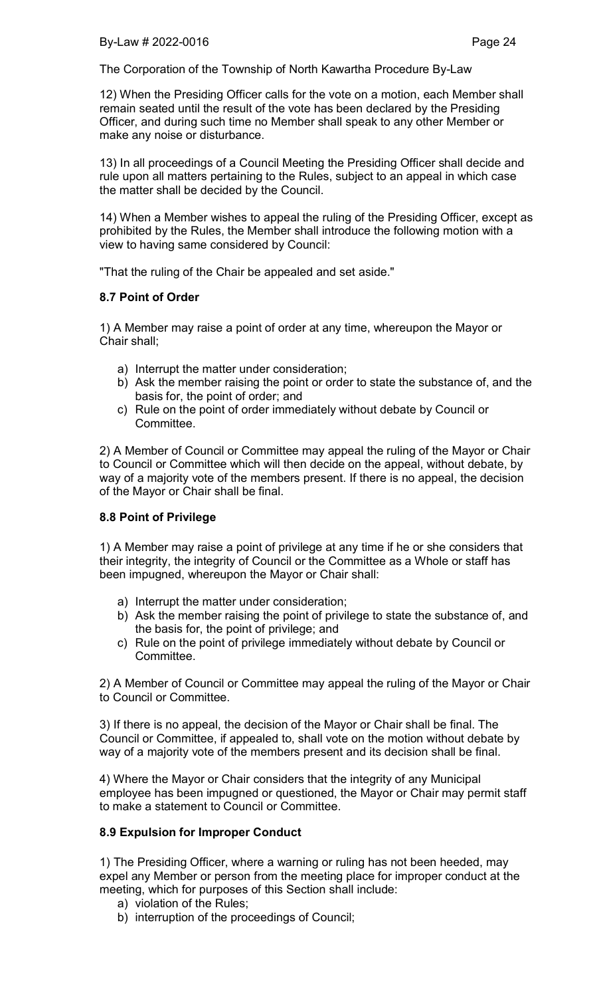12) When the Presiding Officer calls for the vote on a motion, each Member shall remain seated until the result of the vote has been declared by the Presiding Officer, and during such time no Member shall speak to any other Member or make any noise or disturbance.

13) In all proceedings of a Council Meeting the Presiding Officer shall decide and rule upon all matters pertaining to the Rules, subject to an appeal in which case the matter shall be decided by the Council.

14) When a Member wishes to appeal the ruling of the Presiding Officer, except as prohibited by the Rules, the Member shall introduce the following motion with a view to having same considered by Council:

"That the ruling of the Chair be appealed and set aside."

## 8.7 Point of Order

1) A Member may raise a point of order at any time, whereupon the Mayor or Chair shall;

- a) Interrupt the matter under consideration;
- b) Ask the member raising the point or order to state the substance of, and the basis for, the point of order; and
- c) Rule on the point of order immediately without debate by Council or Committee.

2) A Member of Council or Committee may appeal the ruling of the Mayor or Chair to Council or Committee which will then decide on the appeal, without debate, by way of a majority vote of the members present. If there is no appeal, the decision of the Mayor or Chair shall be final.

## 8.8 Point of Privilege

1) A Member may raise a point of privilege at any time if he or she considers that their integrity, the integrity of Council or the Committee as a Whole or staff has been impugned, whereupon the Mayor or Chair shall:

- a) Interrupt the matter under consideration;
- b) Ask the member raising the point of privilege to state the substance of, and the basis for, the point of privilege; and
- c) Rule on the point of privilege immediately without debate by Council or Committee.

2) A Member of Council or Committee may appeal the ruling of the Mayor or Chair to Council or Committee.

3) If there is no appeal, the decision of the Mayor or Chair shall be final. The Council or Committee, if appealed to, shall vote on the motion without debate by way of a majority vote of the members present and its decision shall be final.

4) Where the Mayor or Chair considers that the integrity of any Municipal employee has been impugned or questioned, the Mayor or Chair may permit staff to make a statement to Council or Committee.

## 8.9 Expulsion for Improper Conduct

1) The Presiding Officer, where a warning or ruling has not been heeded, may expel any Member or person from the meeting place for improper conduct at the meeting, which for purposes of this Section shall include:

- a) violation of the Rules;
- b) interruption of the proceedings of Council;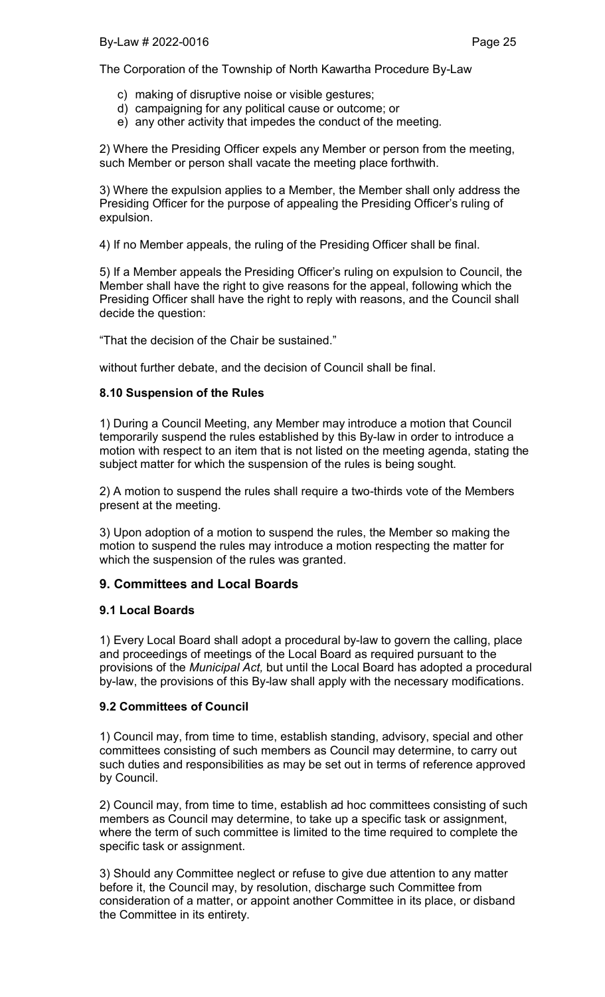- c) making of disruptive noise or visible gestures;
- d) campaigning for any political cause or outcome; or
- e) any other activity that impedes the conduct of the meeting.

2) Where the Presiding Officer expels any Member or person from the meeting, such Member or person shall vacate the meeting place forthwith.

3) Where the expulsion applies to a Member, the Member shall only address the Presiding Officer for the purpose of appealing the Presiding Officer's ruling of expulsion.

4) If no Member appeals, the ruling of the Presiding Officer shall be final.

5) If a Member appeals the Presiding Officer's ruling on expulsion to Council, the Member shall have the right to give reasons for the appeal, following which the Presiding Officer shall have the right to reply with reasons, and the Council shall decide the question:

"That the decision of the Chair be sustained."

without further debate, and the decision of Council shall be final.

### 8.10 Suspension of the Rules

1) During a Council Meeting, any Member may introduce a motion that Council temporarily suspend the rules established by this By-law in order to introduce a motion with respect to an item that is not listed on the meeting agenda, stating the subject matter for which the suspension of the rules is being sought.

2) A motion to suspend the rules shall require a two-thirds vote of the Members present at the meeting.

3) Upon adoption of a motion to suspend the rules, the Member so making the motion to suspend the rules may introduce a motion respecting the matter for which the suspension of the rules was granted.

## 9. Committees and Local Boards

#### 9.1 Local Boards

1) Every Local Board shall adopt a procedural by-law to govern the calling, place and proceedings of meetings of the Local Board as required pursuant to the provisions of the *Municipal Act,* but until the Local Board has adopted a procedural by-law, the provisions of this By-law shall apply with the necessary modifications.

#### 9.2 Committees of Council

1) Council may, from time to time, establish standing, advisory, special and other committees consisting of such members as Council may determine, to carry out such duties and responsibilities as may be set out in terms of reference approved by Council.

2) Council may, from time to time, establish ad hoc committees consisting of such members as Council may determine, to take up a specific task or assignment, where the term of such committee is limited to the time required to complete the specific task or assignment.

3) Should any Committee neglect or refuse to give due attention to any matter before it, the Council may, by resolution, discharge such Committee from consideration of a matter, or appoint another Committee in its place, or disband the Committee in its entirety.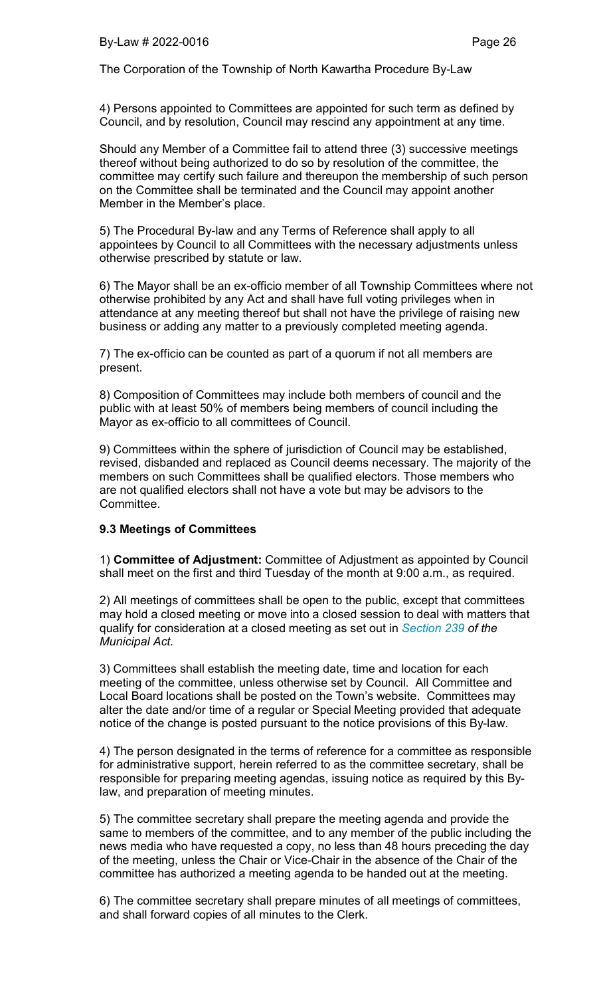4) Persons appointed to Committees are appointed for such term as defined by Council, and by resolution, Council may rescind any appointment at any time.

Should any Member of a Committee fail to attend three (3) successive meetings thereof without being authorized to do so by resolution of the committee, the committee may certify such failure and thereupon the membership of such person on the Committee shall be terminated and the Council may appoint another Member in the Member's place.

5) The Procedural By-law and any Terms of Reference shall apply to all appointees by Council to all Committees with the necessary adjustments unless otherwise prescribed by statute or law.

6) The Mayor shall be an ex-officio member of all Township Committees where not otherwise prohibited by any Act and shall have full voting privileges when in attendance at any meeting thereof but shall not have the privilege of raising new business or adding any matter to a previously completed meeting agenda.

7) The ex-officio can be counted as part of a quorum if not all members are present.

8) Composition of Committees may include both members of council and the public with at least 50% of members being members of council including the Mayor as ex-officio to all committees of Council.

9) Committees within the sphere of jurisdiction of Council may be established, revised, disbanded and replaced as Council deems necessary. The majority of the members on such Committees shall be qualified electors. Those members who are not qualified electors shall not have a vote but may be advisors to the Committee.

#### 9.3 Meetings of Committees

1) Committee of Adjustment: Committee of Adjustment as appointed by Council shall meet on the first and third Tuesday of the month at 9:00 a.m., as required.

2) All meetings of committees shall be open to the public, except that committees may hold a closed meeting or move into a closed session to deal with matters that qualify for consideration at a closed meeting as set out in *Section 239 of the Municipal Act.*

3) Committees shall establish the meeting date, time and location for each meeting of the committee, unless otherwise set by Council. All Committee and Local Board locations shall be posted on the Town's website. Committees may alter the date and/or time of a regular or Special Meeting provided that adequate notice of the change is posted pursuant to the notice provisions of this By-law.

4) The person designated in the terms of reference for a committee as responsible for administrative support, herein referred to as the committee secretary, shall be responsible for preparing meeting agendas, issuing notice as required by this Bylaw, and preparation of meeting minutes.

5) The committee secretary shall prepare the meeting agenda and provide the same to members of the committee, and to any member of the public including the news media who have requested a copy, no less than 48 hours preceding the day of the meeting, unless the Chair or Vice-Chair in the absence of the Chair of the committee has authorized a meeting agenda to be handed out at the meeting.

6) The committee secretary shall prepare minutes of all meetings of committees, and shall forward copies of all minutes to the Clerk.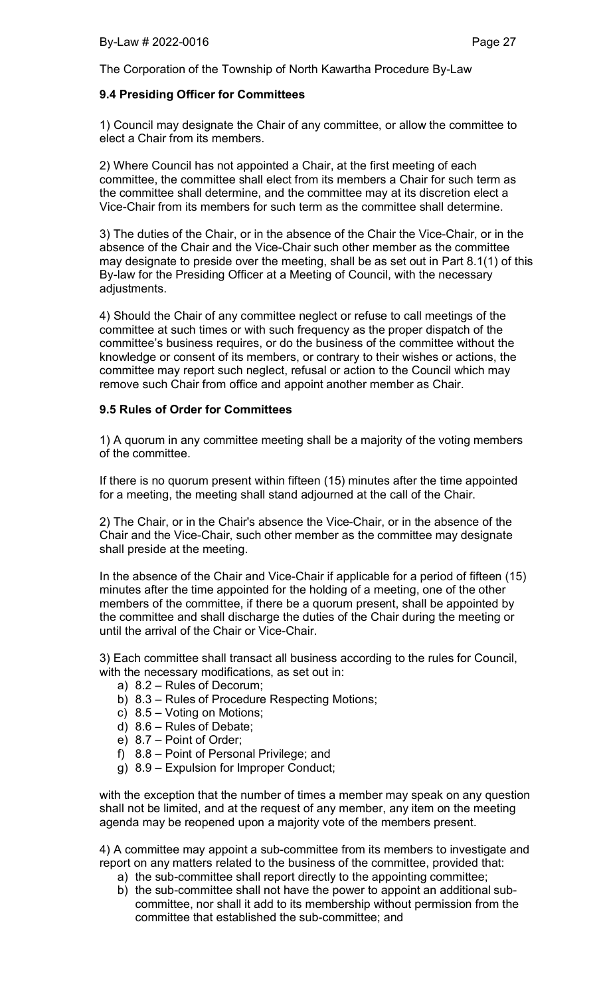## 9.4 Presiding Officer for Committees

1) Council may designate the Chair of any committee, or allow the committee to elect a Chair from its members.

2) Where Council has not appointed a Chair, at the first meeting of each committee, the committee shall elect from its members a Chair for such term as the committee shall determine, and the committee may at its discretion elect a Vice-Chair from its members for such term as the committee shall determine.

3) The duties of the Chair, or in the absence of the Chair the Vice-Chair, or in the absence of the Chair and the Vice-Chair such other member as the committee may designate to preside over the meeting, shall be as set out in Part 8.1(1) of this By-law for the Presiding Officer at a Meeting of Council, with the necessary adjustments.

4) Should the Chair of any committee neglect or refuse to call meetings of the committee at such times or with such frequency as the proper dispatch of the committee's business requires, or do the business of the committee without the knowledge or consent of its members, or contrary to their wishes or actions, the committee may report such neglect, refusal or action to the Council which may remove such Chair from office and appoint another member as Chair.

## 9.5 Rules of Order for Committees

1) A quorum in any committee meeting shall be a majority of the voting members of the committee.

If there is no quorum present within fifteen (15) minutes after the time appointed for a meeting, the meeting shall stand adjourned at the call of the Chair.

2) The Chair, or in the Chair's absence the Vice-Chair, or in the absence of the Chair and the Vice-Chair, such other member as the committee may designate shall preside at the meeting.

In the absence of the Chair and Vice-Chair if applicable for a period of fifteen (15) minutes after the time appointed for the holding of a meeting, one of the other members of the committee, if there be a quorum present, shall be appointed by the committee and shall discharge the duties of the Chair during the meeting or until the arrival of the Chair or Vice-Chair.

3) Each committee shall transact all business according to the rules for Council, with the necessary modifications, as set out in:

- a) 8.2 Rules of Decorum;
- b) 8.3 Rules of Procedure Respecting Motions;
- c) 8.5 Voting on Motions;
- d) 8.6 Rules of Debate;
- e) 8.7 Point of Order;
- f) 8.8 Point of Personal Privilege; and
- g) 8.9 Expulsion for Improper Conduct;

with the exception that the number of times a member may speak on any question shall not be limited, and at the request of any member, any item on the meeting agenda may be reopened upon a majority vote of the members present.

4) A committee may appoint a sub-committee from its members to investigate and report on any matters related to the business of the committee, provided that:

- a) the sub-committee shall report directly to the appointing committee;
- b) the sub-committee shall not have the power to appoint an additional subcommittee, nor shall it add to its membership without permission from the committee that established the sub-committee; and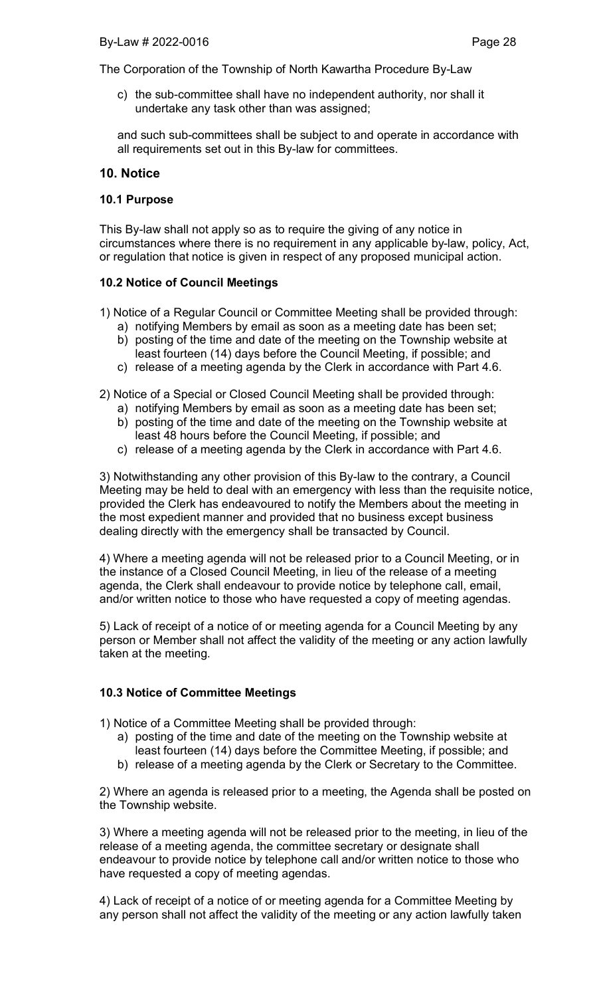c) the sub-committee shall have no independent authority, nor shall it undertake any task other than was assigned;

and such sub-committees shall be subject to and operate in accordance with all requirements set out in this By-law for committees.

## 10. Notice

#### 10.1 Purpose

This By-law shall not apply so as to require the giving of any notice in circumstances where there is no requirement in any applicable by-law, policy, Act, or regulation that notice is given in respect of any proposed municipal action.

### 10.2 Notice of Council Meetings

- 1) Notice of a Regular Council or Committee Meeting shall be provided through: a) notifying Members by email as soon as a meeting date has been set;
	- b) posting of the time and date of the meeting on the Township website at least fourteen (14) days before the Council Meeting, if possible; and
	- c) release of a meeting agenda by the Clerk in accordance with Part 4.6.
- 2) Notice of a Special or Closed Council Meeting shall be provided through:
	- a) notifying Members by email as soon as a meeting date has been set; b) posting of the time and date of the meeting on the Township website at
	- least 48 hours before the Council Meeting, if possible; and
	- c) release of a meeting agenda by the Clerk in accordance with Part 4.6.

3) Notwithstanding any other provision of this By-law to the contrary, a Council Meeting may be held to deal with an emergency with less than the requisite notice, provided the Clerk has endeavoured to notify the Members about the meeting in the most expedient manner and provided that no business except business dealing directly with the emergency shall be transacted by Council.

4) Where a meeting agenda will not be released prior to a Council Meeting, or in the instance of a Closed Council Meeting, in lieu of the release of a meeting agenda, the Clerk shall endeavour to provide notice by telephone call, email, and/or written notice to those who have requested a copy of meeting agendas.

5) Lack of receipt of a notice of or meeting agenda for a Council Meeting by any person or Member shall not affect the validity of the meeting or any action lawfully taken at the meeting.

#### 10.3 Notice of Committee Meetings

1) Notice of a Committee Meeting shall be provided through:

- a) posting of the time and date of the meeting on the Township website at least fourteen (14) days before the Committee Meeting, if possible; and
- b) release of a meeting agenda by the Clerk or Secretary to the Committee.

2) Where an agenda is released prior to a meeting, the Agenda shall be posted on the Township website.

3) Where a meeting agenda will not be released prior to the meeting, in lieu of the release of a meeting agenda, the committee secretary or designate shall endeavour to provide notice by telephone call and/or written notice to those who have requested a copy of meeting agendas.

4) Lack of receipt of a notice of or meeting agenda for a Committee Meeting by any person shall not affect the validity of the meeting or any action lawfully taken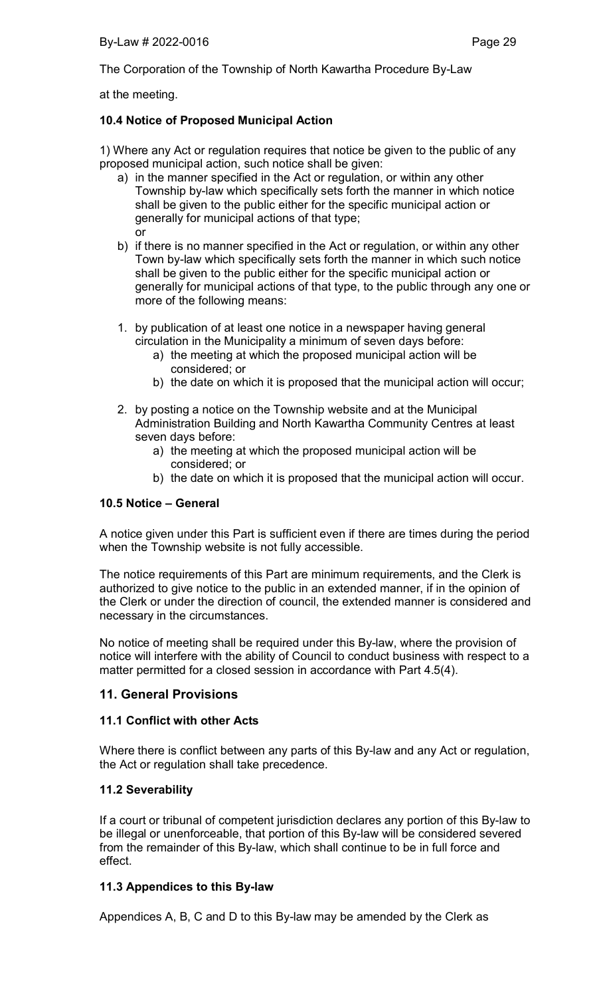at the meeting.

## 10.4 Notice of Proposed Municipal Action

1) Where any Act or regulation requires that notice be given to the public of any proposed municipal action, such notice shall be given:

- a) in the manner specified in the Act or regulation, or within any other Township by-law which specifically sets forth the manner in which notice shall be given to the public either for the specific municipal action or generally for municipal actions of that type; or
- b) if there is no manner specified in the Act or regulation, or within any other Town by-law which specifically sets forth the manner in which such notice shall be given to the public either for the specific municipal action or generally for municipal actions of that type, to the public through any one or more of the following means:
- 1. by publication of at least one notice in a newspaper having general circulation in the Municipality a minimum of seven days before:
	- a) the meeting at which the proposed municipal action will be considered; or
	- b) the date on which it is proposed that the municipal action will occur;
- 2. by posting a notice on the Township website and at the Municipal Administration Building and North Kawartha Community Centres at least seven days before:
	- a) the meeting at which the proposed municipal action will be considered; or
	- b) the date on which it is proposed that the municipal action will occur.

## 10.5 Notice – General

A notice given under this Part is sufficient even if there are times during the period when the Township website is not fully accessible.

The notice requirements of this Part are minimum requirements, and the Clerk is authorized to give notice to the public in an extended manner, if in the opinion of the Clerk or under the direction of council, the extended manner is considered and necessary in the circumstances.

No notice of meeting shall be required under this By-law, where the provision of notice will interfere with the ability of Council to conduct business with respect to a matter permitted for a closed session in accordance with Part 4.5(4).

## 11. General Provisions

#### 11.1 Conflict with other Acts

Where there is conflict between any parts of this By-law and any Act or regulation, the Act or regulation shall take precedence.

## 11.2 Severability

If a court or tribunal of competent jurisdiction declares any portion of this By-law to be illegal or unenforceable, that portion of this By-law will be considered severed from the remainder of this By-law, which shall continue to be in full force and effect.

#### 11.3 Appendices to this By-law

Appendices A, B, C and D to this By-law may be amended by the Clerk as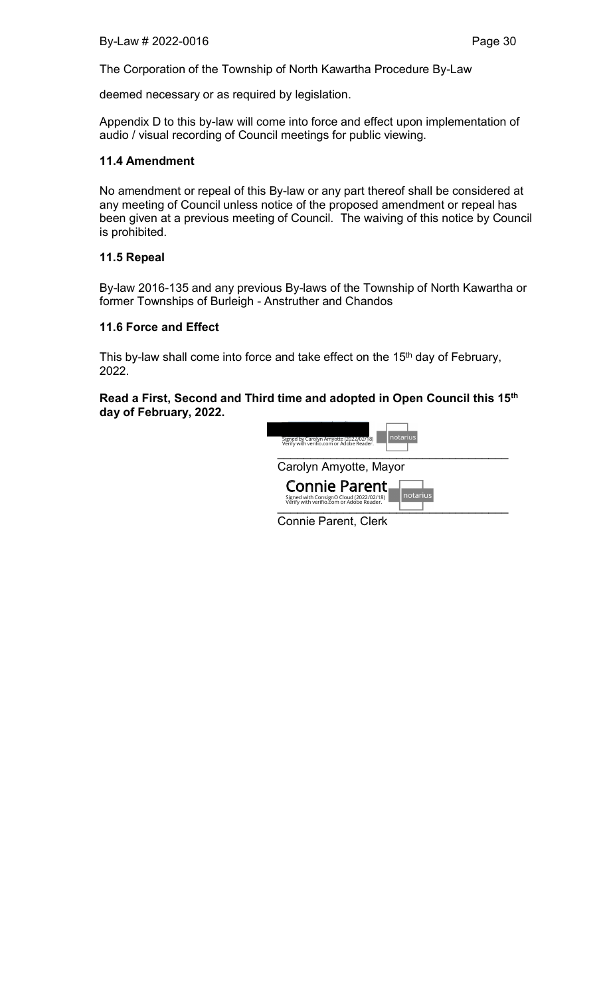deemed necessary or as required by legislation.

Appendix D to this by-law will come into force and effect upon implementation of audio / visual recording of Council meetings for public viewing.

## 11.4 Amendment

No amendment or repeal of this By-law or any part thereof shall be considered at any meeting of Council unless notice of the proposed amendment or repeal has been given at a previous meeting of Council. The waiving of this notice by Council is prohibited.

### 11.5 Repeal

By-law 2016-135 and any previous By-laws of the Township of North Kawartha or former Townships of Burleigh - Anstruther and Chandos

### 11.6 Force and Effect

This by-law shall come into force and take effect on the 15<sup>th</sup> day of February, 2022.

### Read a First, Second and Third time and adopted in Open Council this 15th day of February, 2022.

| notarius<br>Signed by Carolyn Amyotte (2022/02/18)<br>Verify with verifio.com or Adobe Reader.                   |  |  |
|------------------------------------------------------------------------------------------------------------------|--|--|
| Carolyn Amyotte, Mayor                                                                                           |  |  |
| Connie Parent<br>notarius<br>Signed with ConsignO Cloud (2022/02/18)<br>Verify with verifio.com or Adobe Reader. |  |  |

Connie Parent, Clerk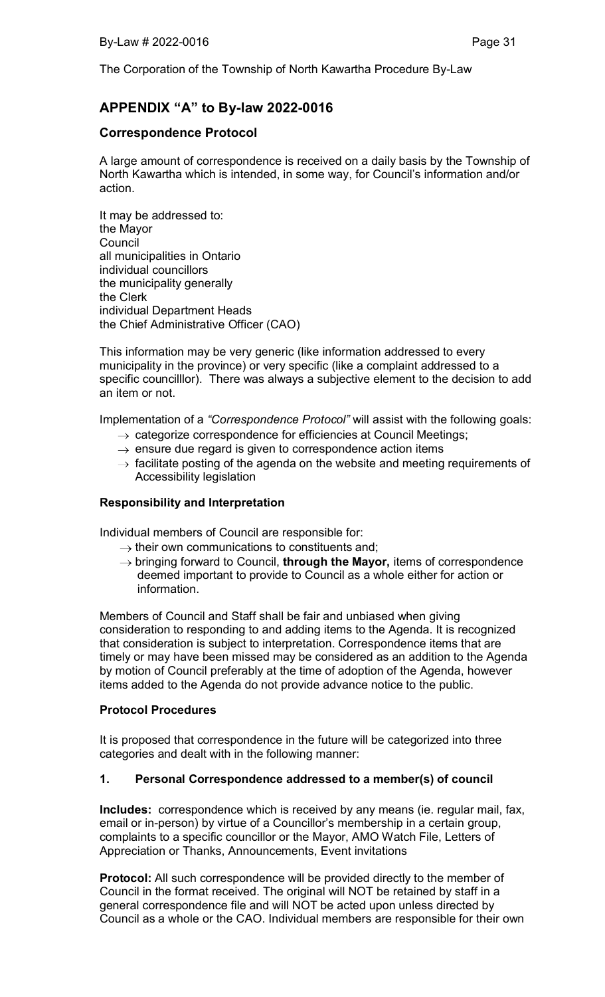# APPENDIX "A" to By-law 2022-0016

# Correspondence Protocol

A large amount of correspondence is received on a daily basis by the Township of North Kawartha which is intended, in some way, for Council's information and/or action.

It may be addressed to: the Mayor **Council** all municipalities in Ontario individual councillors the municipality generally the Clerk individual Department Heads the Chief Administrative Officer (CAO)

This information may be very generic (like information addressed to every municipality in the province) or very specific (like a complaint addressed to a specific councilllor). There was always a subjective element to the decision to add an item or not.

Implementation of a *"Correspondence Protocol"* will assist with the following goals:

- $\rightarrow$  categorize correspondence for efficiencies at Council Meetings;
- $\rightarrow$  ensure due regard is given to correspondence action items
- $\rightarrow$  facilitate posting of the agenda on the website and meeting requirements of Accessibility legislation

## Responsibility and Interpretation

Individual members of Council are responsible for:

- $\rightarrow$  their own communications to constituents and;
- $\rightarrow$  bringing forward to Council, through the Mayor, items of correspondence deemed important to provide to Council as a whole either for action or information.

Members of Council and Staff shall be fair and unbiased when giving consideration to responding to and adding items to the Agenda. It is recognized that consideration is subject to interpretation. Correspondence items that are timely or may have been missed may be considered as an addition to the Agenda by motion of Council preferably at the time of adoption of the Agenda, however items added to the Agenda do not provide advance notice to the public.

## Protocol Procedures

It is proposed that correspondence in the future will be categorized into three categories and dealt with in the following manner:

## 1. Personal Correspondence addressed to a member(s) of council

Includes: correspondence which is received by any means (ie. regular mail, fax, email or in-person) by virtue of a Councillor's membership in a certain group, complaints to a specific councillor or the Mayor, AMO Watch File, Letters of Appreciation or Thanks, Announcements, Event invitations

Protocol: All such correspondence will be provided directly to the member of Council in the format received. The original will NOT be retained by staff in a general correspondence file and will NOT be acted upon unless directed by Council as a whole or the CAO. Individual members are responsible for their own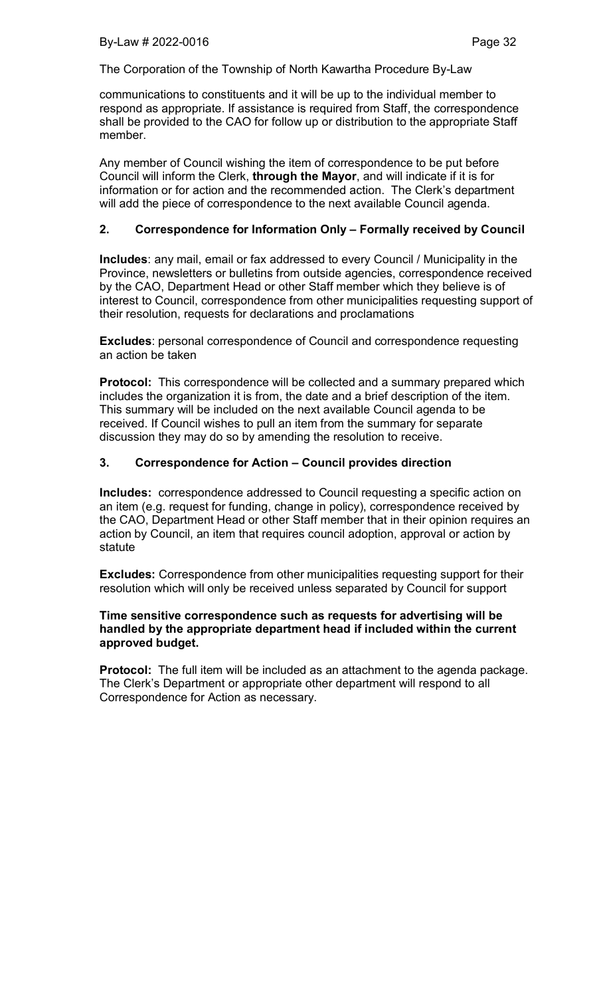communications to constituents and it will be up to the individual member to respond as appropriate. If assistance is required from Staff, the correspondence shall be provided to the CAO for follow up or distribution to the appropriate Staff member.

Any member of Council wishing the item of correspondence to be put before Council will inform the Clerk, through the Mayor, and will indicate if it is for information or for action and the recommended action. The Clerk's department will add the piece of correspondence to the next available Council agenda.

### 2. Correspondence for Information Only – Formally received by Council

Includes: any mail, email or fax addressed to every Council / Municipality in the Province, newsletters or bulletins from outside agencies, correspondence received by the CAO, Department Head or other Staff member which they believe is of interest to Council, correspondence from other municipalities requesting support of their resolution, requests for declarations and proclamations

Excludes: personal correspondence of Council and correspondence requesting an action be taken

Protocol: This correspondence will be collected and a summary prepared which includes the organization it is from, the date and a brief description of the item. This summary will be included on the next available Council agenda to be received. If Council wishes to pull an item from the summary for separate discussion they may do so by amending the resolution to receive.

## 3. Correspondence for Action – Council provides direction

Includes: correspondence addressed to Council requesting a specific action on an item (e.g. request for funding, change in policy), correspondence received by the CAO, Department Head or other Staff member that in their opinion requires an action by Council, an item that requires council adoption, approval or action by statute

Excludes: Correspondence from other municipalities requesting support for their resolution which will only be received unless separated by Council for support

## Time sensitive correspondence such as requests for advertising will be handled by the appropriate department head if included within the current approved budget.

**Protocol:** The full item will be included as an attachment to the agenda package. The Clerk's Department or appropriate other department will respond to all Correspondence for Action as necessary.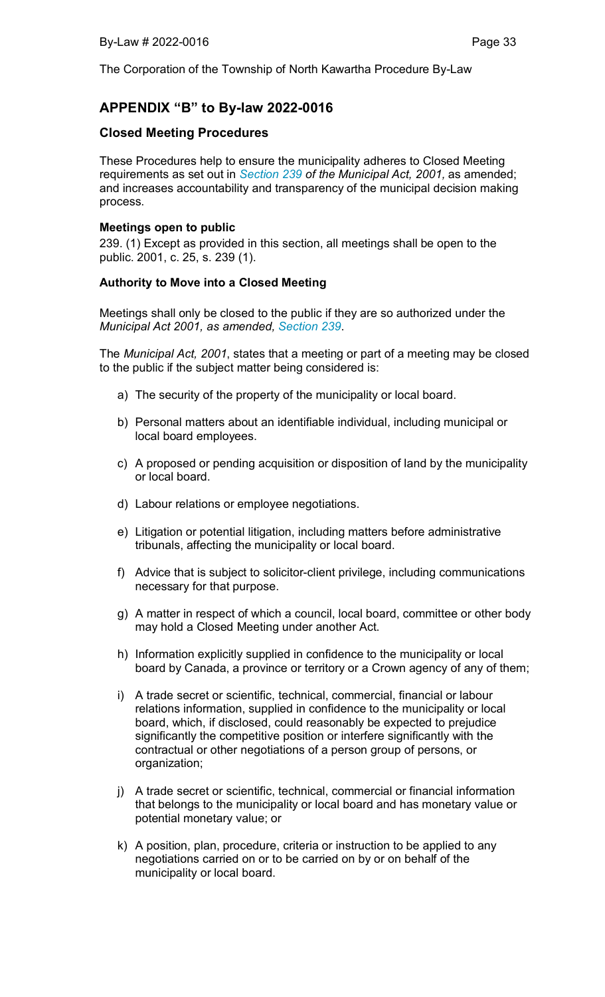# APPENDIX "B" to By-law 2022-0016

# Closed Meeting Procedures

These Procedures help to ensure the municipality adheres to Closed Meeting requirements as set out in *Section 239 of the Municipal Act, 2001,* as amended; and increases accountability and transparency of the municipal decision making process.

## Meetings open to public

239. (1) Except as provided in this section, all meetings shall be open to the public. 2001, c. 25, s. 239 (1).

### Authority to Move into a Closed Meeting

Meetings shall only be closed to the public if they are so authorized under the *Municipal Act 2001, as amended, Section 239*.

The *Municipal Act, 2001*, states that a meeting or part of a meeting may be closed to the public if the subject matter being considered is:

- a) The security of the property of the municipality or local board.
- b) Personal matters about an identifiable individual, including municipal or local board employees.
- c) A proposed or pending acquisition or disposition of land by the municipality or local board.
- d) Labour relations or employee negotiations.
- e) Litigation or potential litigation, including matters before administrative tribunals, affecting the municipality or local board.
- f) Advice that is subject to solicitor-client privilege, including communications necessary for that purpose.
- g) A matter in respect of which a council, local board, committee or other body may hold a Closed Meeting under another Act.
- h) Information explicitly supplied in confidence to the municipality or local board by Canada, a province or territory or a Crown agency of any of them;
- i) A trade secret or scientific, technical, commercial, financial or labour relations information, supplied in confidence to the municipality or local board, which, if disclosed, could reasonably be expected to prejudice significantly the competitive position or interfere significantly with the contractual or other negotiations of a person group of persons, or organization;
- j) A trade secret or scientific, technical, commercial or financial information that belongs to the municipality or local board and has monetary value or potential monetary value; or
- k) A position, plan, procedure, criteria or instruction to be applied to any negotiations carried on or to be carried on by or on behalf of the municipality or local board.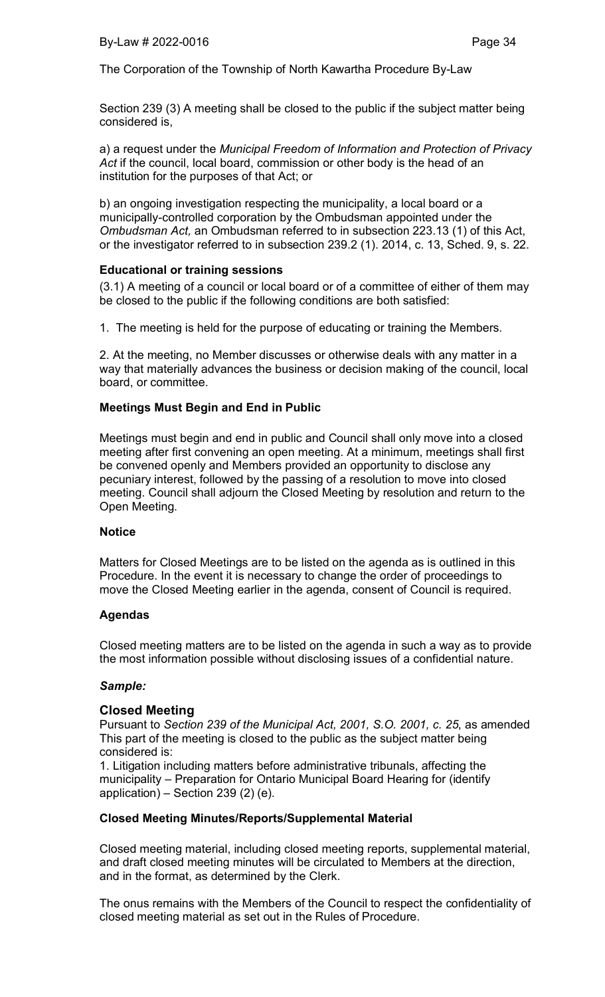Section 239 (3) A meeting shall be closed to the public if the subject matter being considered is,

a) a request under the *Municipal Freedom of Information and Protection of Privacy Act* if the council, local board, commission or other body is the head of an institution for the purposes of that Act; or

b) an ongoing investigation respecting the municipality, a local board or a municipally-controlled corporation by the Ombudsman appointed under the *Ombudsman Act,* an Ombudsman referred to in subsection 223.13 (1) of this Act, or the investigator referred to in subsection 239.2 (1). 2014, c. 13, Sched. 9, s. 22.

### Educational or training sessions

(3.1) A meeting of a council or local board or of a committee of either of them may be closed to the public if the following conditions are both satisfied:

1. The meeting is held for the purpose of educating or training the Members.

2. At the meeting, no Member discusses or otherwise deals with any matter in a way that materially advances the business or decision making of the council, local board, or committee.

## Meetings Must Begin and End in Public

Meetings must begin and end in public and Council shall only move into a closed meeting after first convening an open meeting. At a minimum, meetings shall first be convened openly and Members provided an opportunity to disclose any pecuniary interest, followed by the passing of a resolution to move into closed meeting. Council shall adjourn the Closed Meeting by resolution and return to the Open Meeting.

#### **Notice**

Matters for Closed Meetings are to be listed on the agenda as is outlined in this Procedure. In the event it is necessary to change the order of proceedings to move the Closed Meeting earlier in the agenda, consent of Council is required.

## Agendas

Closed meeting matters are to be listed on the agenda in such a way as to provide the most information possible without disclosing issues of a confidential nature.

#### *Sample:*

#### Closed Meeting

Pursuant to *Section 239 of the Municipal Act, 2001, S.O. 2001, c. 25*, as amended This part of the meeting is closed to the public as the subject matter being considered is:

1. Litigation including matters before administrative tribunals, affecting the municipality – Preparation for Ontario Municipal Board Hearing for (identify application) – Section 239 $(2)$  $(e)$ .

## Closed Meeting Minutes/Reports/Supplemental Material

Closed meeting material, including closed meeting reports, supplemental material, and draft closed meeting minutes will be circulated to Members at the direction, and in the format, as determined by the Clerk.

The onus remains with the Members of the Council to respect the confidentiality of closed meeting material as set out in the Rules of Procedure.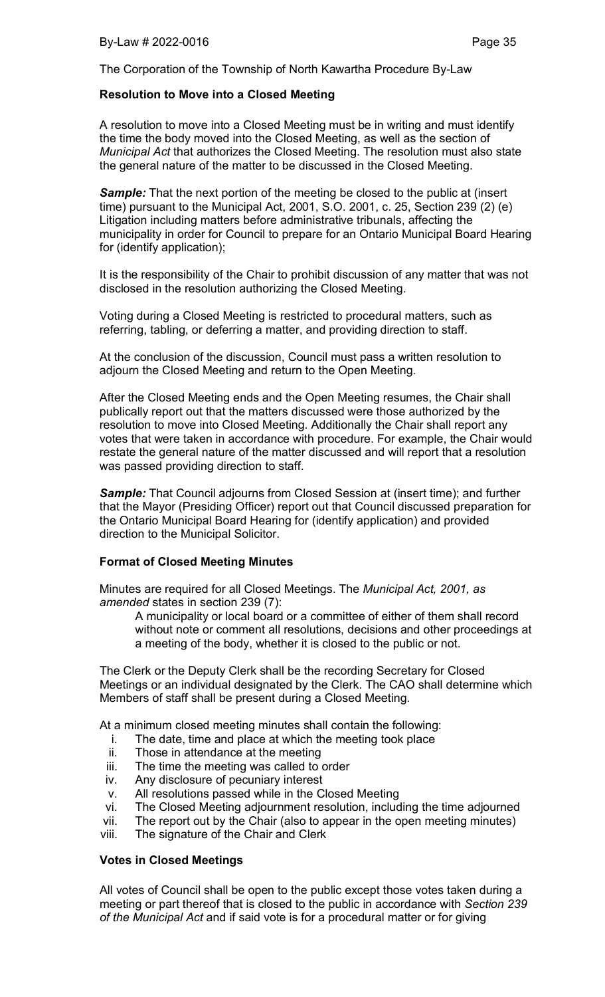## Resolution to Move into a Closed Meeting

A resolution to move into a Closed Meeting must be in writing and must identify the time the body moved into the Closed Meeting, as well as the section of *Municipal Act* that authorizes the Closed Meeting. The resolution must also state the general nature of the matter to be discussed in the Closed Meeting.

**Sample:** That the next portion of the meeting be closed to the public at (insert time) pursuant to the Municipal Act, 2001, S.O. 2001, c. 25, Section 239 (2) (e) Litigation including matters before administrative tribunals, affecting the municipality in order for Council to prepare for an Ontario Municipal Board Hearing for (identify application);

It is the responsibility of the Chair to prohibit discussion of any matter that was not disclosed in the resolution authorizing the Closed Meeting.

Voting during a Closed Meeting is restricted to procedural matters, such as referring, tabling, or deferring a matter, and providing direction to staff.

At the conclusion of the discussion, Council must pass a written resolution to adjourn the Closed Meeting and return to the Open Meeting.

After the Closed Meeting ends and the Open Meeting resumes, the Chair shall publically report out that the matters discussed were those authorized by the resolution to move into Closed Meeting. Additionally the Chair shall report any votes that were taken in accordance with procedure. For example, the Chair would restate the general nature of the matter discussed and will report that a resolution was passed providing direction to staff.

*Sample:* That Council adjourns from Closed Session at (insert time); and further that the Mayor (Presiding Officer) report out that Council discussed preparation for the Ontario Municipal Board Hearing for (identify application) and provided direction to the Municipal Solicitor.

## Format of Closed Meeting Minutes

Minutes are required for all Closed Meetings. The *Municipal Act, 2001, as amended* states in section 239 (7):

A municipality or local board or a committee of either of them shall record without note or comment all resolutions, decisions and other proceedings at a meeting of the body, whether it is closed to the public or not.

The Clerk or the Deputy Clerk shall be the recording Secretary for Closed Meetings or an individual designated by the Clerk. The CAO shall determine which Members of staff shall be present during a Closed Meeting.

At a minimum closed meeting minutes shall contain the following:

- i. The date, time and place at which the meeting took place
- ii. Those in attendance at the meeting
- iii. The time the meeting was called to order
- iv. Any disclosure of pecuniary interest
- v. All resolutions passed while in the Closed Meeting
- vi. The Closed Meeting adjournment resolution, including the time adjourned
- vii. The report out by the Chair (also to appear in the open meeting minutes)
- viii. The signature of the Chair and Clerk

## Votes in Closed Meetings

All votes of Council shall be open to the public except those votes taken during a meeting or part thereof that is closed to the public in accordance with *Section 239 of the Municipal Act* and if said vote is for a procedural matter or for giving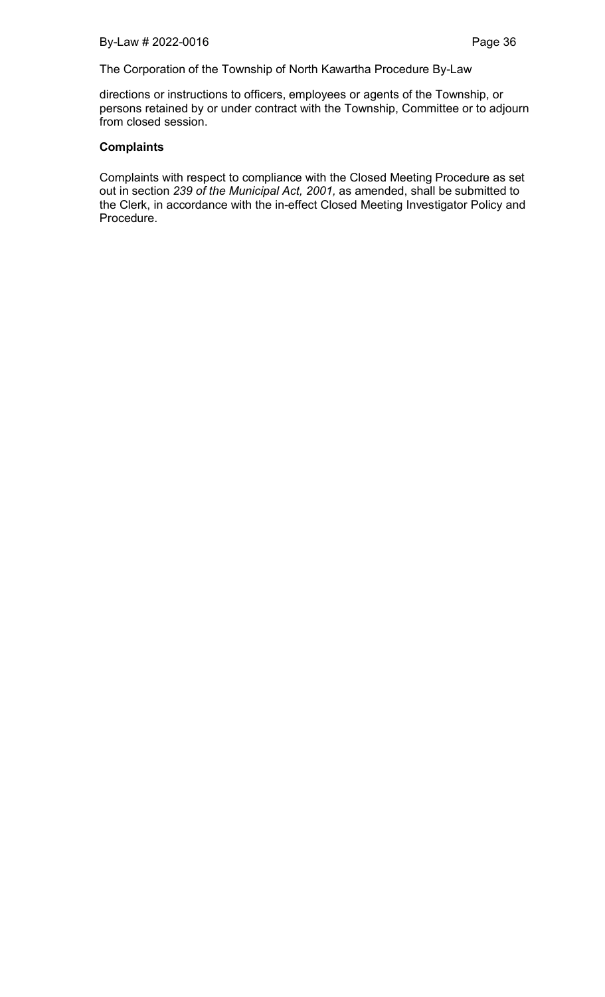directions or instructions to officers, employees or agents of the Township, or persons retained by or under contract with the Township, Committee or to adjourn from closed session.

## **Complaints**

Complaints with respect to compliance with the Closed Meeting Procedure as set out in section *239 of the Municipal Act, 2001,* as amended, shall be submitted to the Clerk, in accordance with the in-effect Closed Meeting Investigator Policy and Procedure.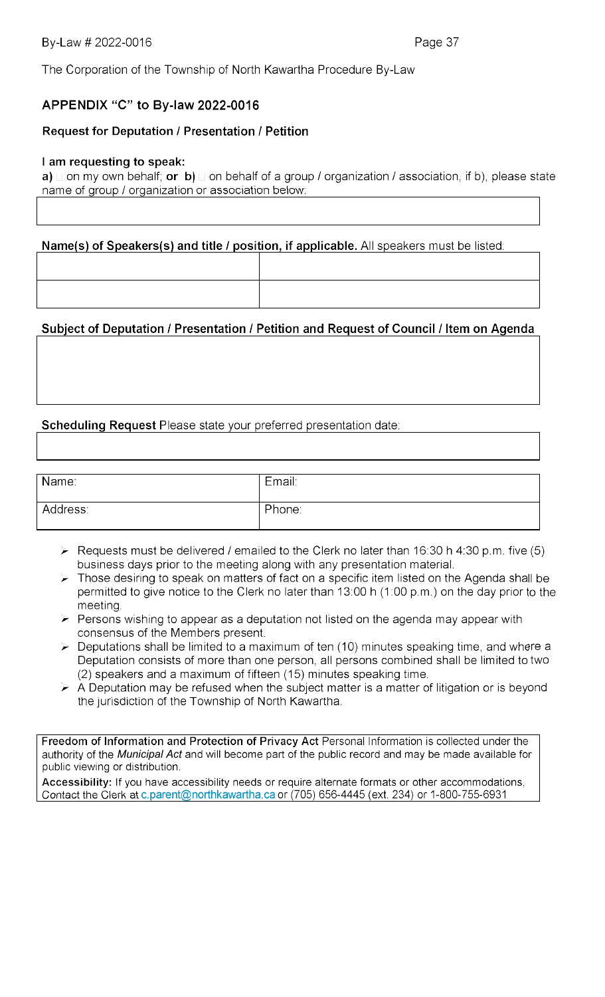# APPENDIX "C" to By-law 2022-0016

# **Request for Deputation / Presentation / Petition**

## I am requesting to speak:

a)  $\sqcup$  on my own behalf; or b)  $\sqcup$  on behalf of a group / organization / association, if b), please state name of group / organization or association below:

Name(s) of Speakers(s) and title / position, if applicable. All speakers must be listed:

# Subject of Deputation / Presentation / Petition and Request of Council / Item on Agenda

# Scheduling Request Please state your preferred presentation date:

| Name:    | Email: |
|----------|--------|
| Address: | Phone: |

- $\triangleright$  Requests must be delivered / emailed to the Clerk no later than 16:30 h 4:30 p.m. five (5) business days prior to the meeting along with any presentation material.
- $\triangleright$  Those desiring to speak on matters of fact on a specific item listed on the Agenda shall be permitted to give notice to the Clerk no later than 13:00 h (1:00 p.m.) on the day prior to the meeting.
- $\triangleright$  Persons wishing to appear as a deputation not listed on the agenda may appear with consensus of the Members present.
- $\triangleright$  Deputations shall be limited to a maximum of ten (10) minutes speaking time, and where a Deputation consists of more than one person, all persons combined shall be limited to two (2) speakers and a maximum of fifteen (15) minutes speaking time.
- $\triangleright$  A Deputation may be refused when the subject matter is a matter of litigation or is beyond the jurisdiction of the Township of North Kawartha.

Freedom of Information and Protection of Privacy Act Personal Information is collected under the authority of the *Municipal Act* and will become part of the public record and may be made available for public viewing or distribution.

Accessibility: If you have accessibility needs or require alternate formats or other accommodations, Contact the Clerk at c.parent@northkawartha.ca or (705) 656-4445 (ext. 234) or 1-800-755-6931